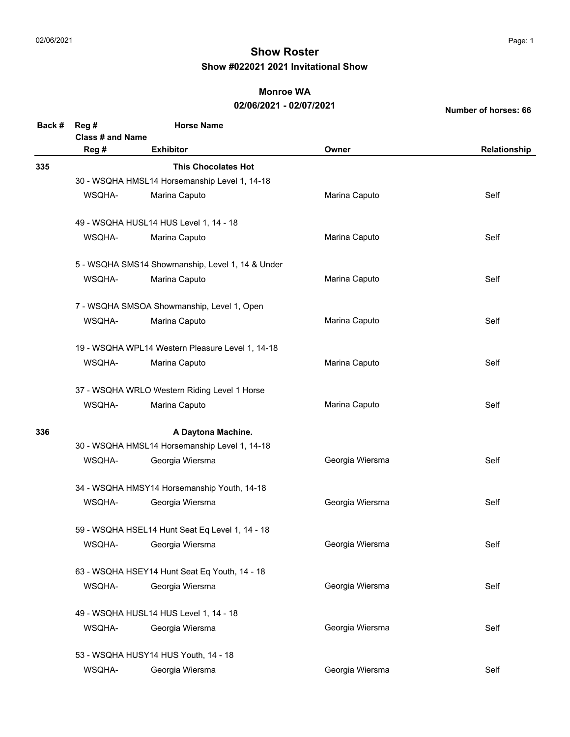### **Monroe WA**

### **02/06/2021 - 02/07/2021**

| Back # | Reg #                   | <b>Horse Name</b>                                |                 |              |
|--------|-------------------------|--------------------------------------------------|-----------------|--------------|
|        | <b>Class # and Name</b> |                                                  |                 |              |
|        | Reg #                   | <b>Exhibitor</b>                                 | Owner           | Relationship |
| 335    |                         | <b>This Chocolates Hot</b>                       |                 |              |
|        |                         | 30 - WSQHA HMSL14 Horsemanship Level 1, 14-18    |                 |              |
|        | WSQHA-                  | Marina Caputo                                    | Marina Caputo   | Self         |
|        |                         | 49 - WSQHA HUSL14 HUS Level 1, 14 - 18           |                 |              |
|        | WSQHA-                  | Marina Caputo                                    | Marina Caputo   | Self         |
|        |                         | 5 - WSQHA SMS14 Showmanship, Level 1, 14 & Under |                 |              |
|        | WSQHA-                  | Marina Caputo                                    | Marina Caputo   | Self         |
|        |                         | 7 - WSQHA SMSOA Showmanship, Level 1, Open       |                 |              |
|        | WSQHA-                  | Marina Caputo                                    | Marina Caputo   | Self         |
|        |                         | 19 - WSQHA WPL14 Western Pleasure Level 1, 14-18 |                 |              |
|        | WSQHA-                  | Marina Caputo                                    | Marina Caputo   | Self         |
|        |                         | 37 - WSQHA WRLO Western Riding Level 1 Horse     |                 |              |
|        | WSQHA-                  | Marina Caputo                                    | Marina Caputo   | Self         |
| 336    |                         | A Daytona Machine.                               |                 |              |
|        |                         | 30 - WSQHA HMSL14 Horsemanship Level 1, 14-18    |                 |              |
|        | WSQHA-                  | Georgia Wiersma                                  | Georgia Wiersma | Self         |
|        |                         | 34 - WSQHA HMSY14 Horsemanship Youth, 14-18      |                 |              |
|        | WSQHA-                  | Georgia Wiersma                                  | Georgia Wiersma | Self         |
|        |                         | 59 - WSQHA HSEL14 Hunt Seat Eq Level 1, 14 - 18  |                 |              |
|        | WSQHA-                  | Georgia Wiersma                                  | Georgia Wiersma | Self         |
|        |                         | 63 - WSQHA HSEY14 Hunt Seat Eq Youth, 14 - 18    |                 |              |
|        | WSQHA-                  | Georgia Wiersma                                  | Georgia Wiersma | Self         |
|        |                         | 49 - WSQHA HUSL14 HUS Level 1, 14 - 18           |                 |              |
|        | WSQHA-                  | Georgia Wiersma                                  | Georgia Wiersma | Self         |
|        |                         | 53 - WSQHA HUSY14 HUS Youth, 14 - 18             |                 |              |
|        | WSQHA-                  | Georgia Wiersma                                  | Georgia Wiersma | Self         |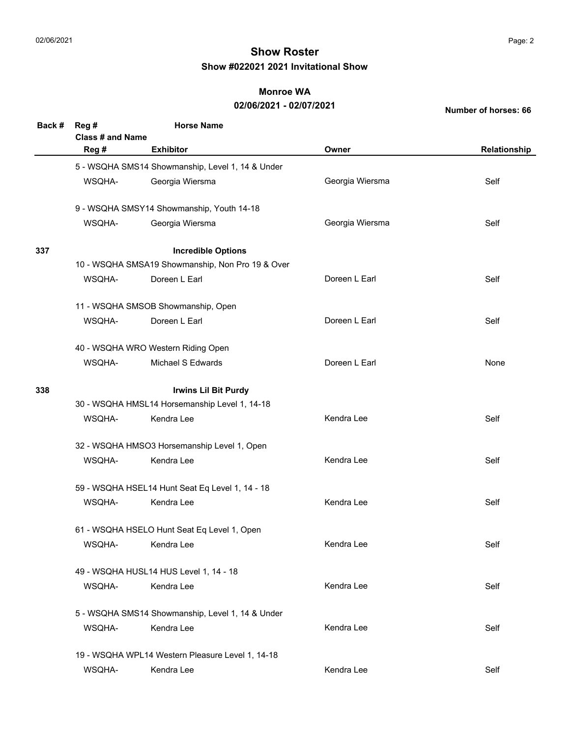#### **Monroe WA**

### **02/06/2021 - 02/07/2021**

| Back # | Reg#                        | <b>Horse Name</b>                                |                 |              |  |
|--------|-----------------------------|--------------------------------------------------|-----------------|--------------|--|
|        | <b>Class # and Name</b>     |                                                  |                 |              |  |
|        | Reg #                       | <b>Exhibitor</b>                                 | Owner           | Relationship |  |
|        |                             | 5 - WSQHA SMS14 Showmanship, Level 1, 14 & Under |                 |              |  |
|        | WSQHA-                      | Georgia Wiersma                                  | Georgia Wiersma | Self         |  |
|        |                             | 9 - WSQHA SMSY14 Showmanship, Youth 14-18        |                 |              |  |
|        | WSQHA-                      | Georgia Wiersma                                  | Georgia Wiersma | Self         |  |
| 337    |                             | <b>Incredible Options</b>                        |                 |              |  |
|        |                             | 10 - WSQHA SMSA19 Showmanship, Non Pro 19 & Over |                 |              |  |
|        | WSQHA-                      | Doreen L Earl                                    | Doreen L Earl   | Self         |  |
|        |                             | 11 - WSQHA SMSOB Showmanship, Open               |                 |              |  |
|        | WSQHA-                      | Doreen L Earl                                    | Doreen L Earl   | Self         |  |
|        |                             | 40 - WSQHA WRO Western Riding Open               |                 |              |  |
|        | WSQHA-                      | Michael S Edwards                                | Doreen L Earl   | None         |  |
| 338    | <b>Irwins Lil Bit Purdy</b> |                                                  |                 |              |  |
|        |                             | 30 - WSQHA HMSL14 Horsemanship Level 1, 14-18    |                 |              |  |
|        | WSQHA-                      | Kendra Lee                                       | Kendra Lee      | Self         |  |
|        |                             | 32 - WSQHA HMSO3 Horsemanship Level 1, Open      |                 |              |  |
|        | WSQHA-                      | Kendra Lee                                       | Kendra Lee      | Self         |  |
|        |                             | 59 - WSQHA HSEL14 Hunt Seat Eq Level 1, 14 - 18  |                 |              |  |
|        | WSQHA-                      | Kendra Lee                                       | Kendra Lee      | Self         |  |
|        |                             | 61 - WSQHA HSELO Hunt Seat Eq Level 1, Open      |                 |              |  |
|        | WSQHA-                      | Kendra Lee                                       | Kendra Lee      | Self         |  |
|        |                             | 49 - WSQHA HUSL14 HUS Level 1, 14 - 18           |                 |              |  |
|        | WSQHA-                      | Kendra Lee                                       | Kendra Lee      | Self         |  |
|        |                             | 5 - WSQHA SMS14 Showmanship, Level 1, 14 & Under |                 |              |  |
|        | WSQHA-                      | Kendra Lee                                       | Kendra Lee      | Self         |  |
|        |                             | 19 - WSQHA WPL14 Western Pleasure Level 1, 14-18 |                 |              |  |
|        | WSQHA-                      | Kendra Lee                                       | Kendra Lee      | Self         |  |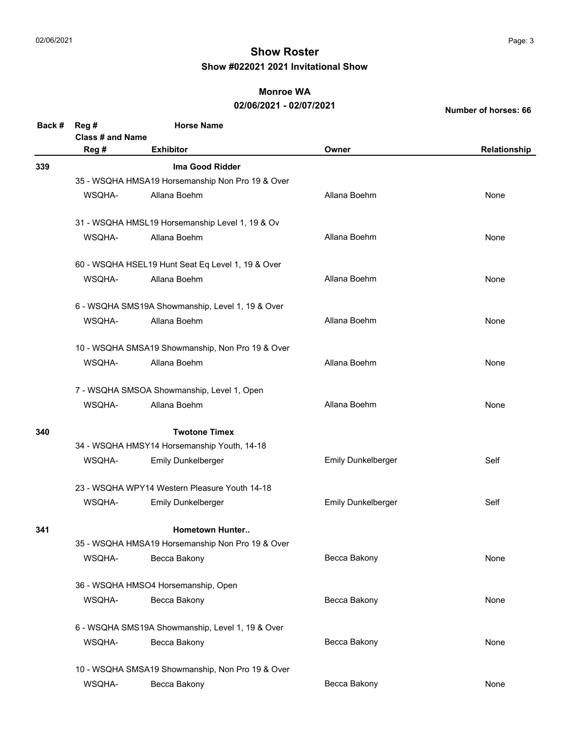#### **Monroe WA**

### **02/06/2021 - 02/07/2021**

| Back # | Reg #                                                                                                                                                                                                                                                                                                                         | <b>Horse Name</b>                                 |                           |              |  |
|--------|-------------------------------------------------------------------------------------------------------------------------------------------------------------------------------------------------------------------------------------------------------------------------------------------------------------------------------|---------------------------------------------------|---------------------------|--------------|--|
|        | Class # and Name                                                                                                                                                                                                                                                                                                              |                                                   |                           |              |  |
|        | Reg #                                                                                                                                                                                                                                                                                                                         | <b>Exhibitor</b>                                  | Owner                     | Relationship |  |
| 339    |                                                                                                                                                                                                                                                                                                                               | Ima Good Ridder                                   |                           |              |  |
|        |                                                                                                                                                                                                                                                                                                                               | 35 - WSQHA HMSA19 Horsemanship Non Pro 19 & Over  |                           |              |  |
|        | WSQHA-                                                                                                                                                                                                                                                                                                                        | Allana Boehm                                      | Allana Boehm              | None         |  |
|        |                                                                                                                                                                                                                                                                                                                               |                                                   |                           |              |  |
|        |                                                                                                                                                                                                                                                                                                                               | 31 - WSQHA HMSL19 Horsemanship Level 1, 19 & Ov   |                           |              |  |
|        | WSQHA-                                                                                                                                                                                                                                                                                                                        | Allana Boehm                                      | Allana Boehm              | None         |  |
|        |                                                                                                                                                                                                                                                                                                                               | 60 - WSQHA HSEL19 Hunt Seat Eq Level 1, 19 & Over |                           |              |  |
|        | WSQHA-                                                                                                                                                                                                                                                                                                                        | Allana Boehm                                      | Allana Boehm              | None         |  |
|        |                                                                                                                                                                                                                                                                                                                               |                                                   |                           |              |  |
|        | WSQHA-                                                                                                                                                                                                                                                                                                                        | Allana Boehm                                      | Allana Boehm              | None         |  |
|        | 6 - WSQHA SMS19A Showmanship, Level 1, 19 & Over<br>10 - WSQHA SMSA19 Showmanship, Non Pro 19 & Over<br>Allana Boehm<br>WSQHA-<br>Allana Boehm<br>None<br>7 - WSQHA SMSOA Showmanship, Level 1, Open<br>WSQHA-<br>Allana Boehm<br>Allana Boehm<br>None<br><b>Twotone Timex</b><br>34 - WSQHA HMSY14 Horsemanship Youth, 14-18 |                                                   |                           |              |  |
|        |                                                                                                                                                                                                                                                                                                                               |                                                   |                           |              |  |
|        |                                                                                                                                                                                                                                                                                                                               |                                                   |                           |              |  |
|        |                                                                                                                                                                                                                                                                                                                               |                                                   |                           |              |  |
| 340    |                                                                                                                                                                                                                                                                                                                               |                                                   |                           |              |  |
|        |                                                                                                                                                                                                                                                                                                                               |                                                   |                           |              |  |
|        | WSQHA-                                                                                                                                                                                                                                                                                                                        | <b>Emily Dunkelberger</b>                         | <b>Emily Dunkelberger</b> | Self         |  |
|        |                                                                                                                                                                                                                                                                                                                               | 23 - WSQHA WPY14 Western Pleasure Youth 14-18     |                           |              |  |
|        | WSQHA-                                                                                                                                                                                                                                                                                                                        | <b>Emily Dunkelberger</b>                         | Emily Dunkelberger        | Self         |  |
| 341    |                                                                                                                                                                                                                                                                                                                               | <b>Hometown Hunter</b>                            |                           |              |  |
|        |                                                                                                                                                                                                                                                                                                                               | 35 - WSQHA HMSA19 Horsemanship Non Pro 19 & Over  |                           |              |  |
|        | WSQHA-                                                                                                                                                                                                                                                                                                                        | Becca Bakony                                      | Becca Bakony              | None         |  |
|        |                                                                                                                                                                                                                                                                                                                               | 36 - WSQHA HMSO4 Horsemanship, Open               |                           |              |  |
|        | WSQHA-                                                                                                                                                                                                                                                                                                                        | Becca Bakony                                      | Becca Bakony              | None         |  |
|        |                                                                                                                                                                                                                                                                                                                               | 6 - WSQHA SMS19A Showmanship, Level 1, 19 & Over  |                           |              |  |
|        | WSQHA-                                                                                                                                                                                                                                                                                                                        | Becca Bakony                                      | Becca Bakony              | None         |  |
|        |                                                                                                                                                                                                                                                                                                                               | 10 - WSQHA SMSA19 Showmanship, Non Pro 19 & Over  |                           |              |  |
|        | WSQHA-                                                                                                                                                                                                                                                                                                                        | Becca Bakony                                      | Becca Bakony              | None         |  |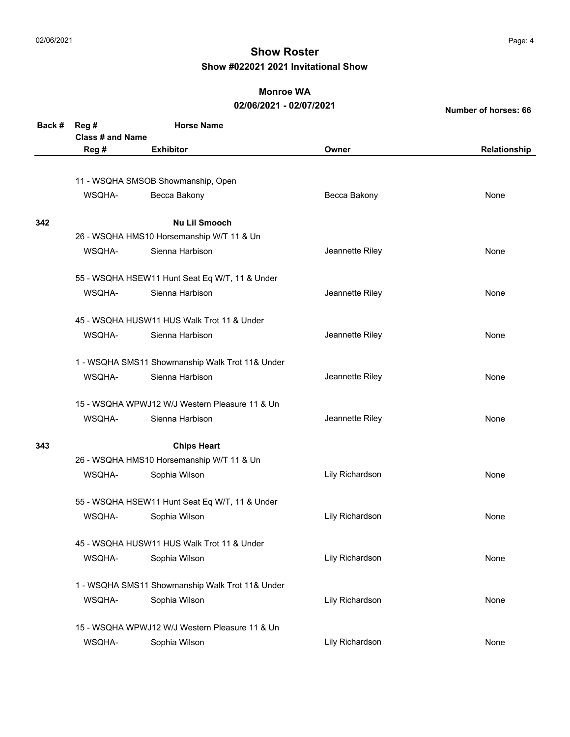### **Monroe WA**

#### **02/06/2021 - 02/07/2021**

| Back # | Reg#                    | <b>Horse Name</b>                               |                 |              |
|--------|-------------------------|-------------------------------------------------|-----------------|--------------|
|        | <b>Class # and Name</b> |                                                 |                 |              |
|        | Reg #                   | <b>Exhibitor</b>                                | Owner           | Relationship |
|        |                         |                                                 |                 |              |
|        |                         | 11 - WSQHA SMSOB Showmanship, Open              |                 |              |
|        | WSQHA-                  | Becca Bakony                                    | Becca Bakony    | None         |
|        |                         |                                                 |                 |              |
| 342    |                         | <b>Nu Lil Smooch</b>                            |                 |              |
|        |                         | 26 - WSQHA HMS10 Horsemanship W/T 11 & Un       |                 |              |
|        | WSOHA-                  | Sienna Harbison                                 | Jeannette Riley | None         |
|        |                         | 55 - WSQHA HSEW11 Hunt Seat Eq W/T, 11 & Under  |                 |              |
|        | WSQHA-                  | Sienna Harbison                                 | Jeannette Riley | None         |
|        |                         | 45 - WSQHA HUSW11 HUS Walk Trot 11 & Under      |                 |              |
|        | WSQHA-                  | Sienna Harbison                                 | Jeannette Riley | None         |
|        |                         | 1 - WSQHA SMS11 Showmanship Walk Trot 11& Under |                 |              |
|        | WSOHA-                  | Sienna Harbison                                 | Jeannette Riley | None         |
|        |                         | 15 - WSQHA WPWJ12 W/J Western Pleasure 11 & Un  |                 |              |
|        | WSQHA-                  | Sienna Harbison                                 | Jeannette Riley | None         |
| 343    |                         | <b>Chips Heart</b>                              |                 |              |
|        |                         | 26 - WSQHA HMS10 Horsemanship W/T 11 & Un       |                 |              |
|        | WSQHA-                  | Sophia Wilson                                   | Lily Richardson | None         |
|        |                         | 55 - WSQHA HSEW11 Hunt Seat Eq W/T, 11 & Under  |                 |              |
|        | WSQHA-                  | Sophia Wilson                                   | Lily Richardson | None         |
|        |                         | 45 - WSQHA HUSW11 HUS Walk Trot 11 & Under      |                 |              |
|        | WSQHA-                  | Sophia Wilson                                   | Lily Richardson | None         |
|        |                         | 1 - WSQHA SMS11 Showmanship Walk Trot 11& Under |                 |              |
|        | WSQHA-                  | Sophia Wilson                                   | Lily Richardson | None         |
|        |                         | 15 - WSQHA WPWJ12 W/J Western Pleasure 11 & Un  |                 |              |
|        | WSQHA-                  | Sophia Wilson                                   | Lily Richardson | None         |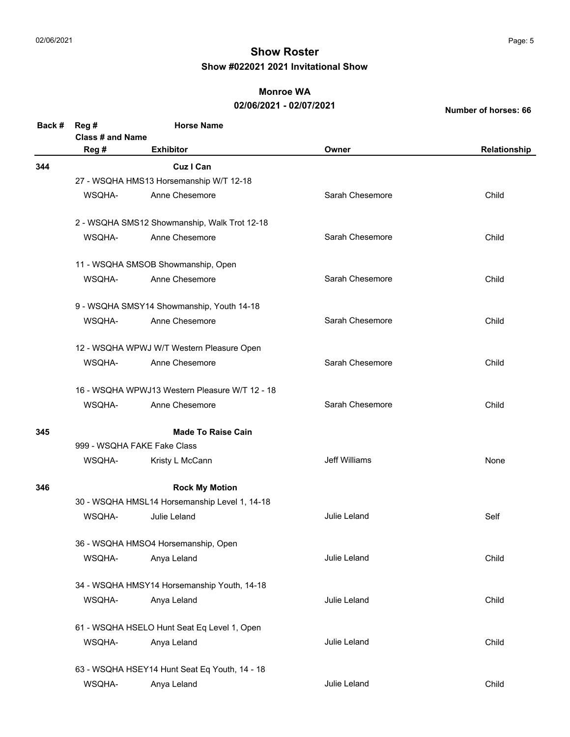### **Monroe WA**

### **02/06/2021 - 02/07/2021**

| Back # | Reg#                                                                                                                                                                                                                                                                                                                                                                                                                                                                                                                                                                                                                                                                                                                                                                                                                                                                                                                                                                                 | <b>Horse Name</b>                             |                 |       |
|--------|--------------------------------------------------------------------------------------------------------------------------------------------------------------------------------------------------------------------------------------------------------------------------------------------------------------------------------------------------------------------------------------------------------------------------------------------------------------------------------------------------------------------------------------------------------------------------------------------------------------------------------------------------------------------------------------------------------------------------------------------------------------------------------------------------------------------------------------------------------------------------------------------------------------------------------------------------------------------------------------|-----------------------------------------------|-----------------|-------|
|        |                                                                                                                                                                                                                                                                                                                                                                                                                                                                                                                                                                                                                                                                                                                                                                                                                                                                                                                                                                                      |                                               |                 |       |
|        | Reg #                                                                                                                                                                                                                                                                                                                                                                                                                                                                                                                                                                                                                                                                                                                                                                                                                                                                                                                                                                                | <b>Exhibitor</b>                              | Owner           |       |
| 344    |                                                                                                                                                                                                                                                                                                                                                                                                                                                                                                                                                                                                                                                                                                                                                                                                                                                                                                                                                                                      | <b>Cuz I Can</b>                              |                 |       |
|        |                                                                                                                                                                                                                                                                                                                                                                                                                                                                                                                                                                                                                                                                                                                                                                                                                                                                                                                                                                                      |                                               |                 |       |
|        | WSQHA-                                                                                                                                                                                                                                                                                                                                                                                                                                                                                                                                                                                                                                                                                                                                                                                                                                                                                                                                                                               | Anne Chesemore                                | Sarah Chesemore | Child |
|        |                                                                                                                                                                                                                                                                                                                                                                                                                                                                                                                                                                                                                                                                                                                                                                                                                                                                                                                                                                                      |                                               |                 |       |
|        | WSQHA-                                                                                                                                                                                                                                                                                                                                                                                                                                                                                                                                                                                                                                                                                                                                                                                                                                                                                                                                                                               | Anne Chesemore                                | Sarah Chesemore | Child |
|        |                                                                                                                                                                                                                                                                                                                                                                                                                                                                                                                                                                                                                                                                                                                                                                                                                                                                                                                                                                                      |                                               |                 |       |
|        | WSQHA-                                                                                                                                                                                                                                                                                                                                                                                                                                                                                                                                                                                                                                                                                                                                                                                                                                                                                                                                                                               | Anne Chesemore                                | Sarah Chesemore | Child |
|        |                                                                                                                                                                                                                                                                                                                                                                                                                                                                                                                                                                                                                                                                                                                                                                                                                                                                                                                                                                                      |                                               |                 |       |
|        | WSQHA-                                                                                                                                                                                                                                                                                                                                                                                                                                                                                                                                                                                                                                                                                                                                                                                                                                                                                                                                                                               | Anne Chesemore                                | Sarah Chesemore | Child |
|        | <b>Class # and Name</b><br>Relationship<br>27 - WSQHA HMS13 Horsemanship W/T 12-18<br>2 - WSQHA SMS12 Showmanship, Walk Trot 12-18<br>11 - WSQHA SMSOB Showmanship, Open<br>9 - WSQHA SMSY14 Showmanship, Youth 14-18<br>12 - WSQHA WPWJ W/T Western Pleasure Open<br>Sarah Chesemore<br>WSQHA-<br>Anne Chesemore<br>Child<br>16 - WSQHA WPWJ13 Western Pleasure W/T 12 - 18<br>Sarah Chesemore<br>WSQHA-<br>Anne Chesemore<br>Child<br><b>Made To Raise Cain</b><br>999 - WSQHA FAKE Fake Class<br><b>Jeff Williams</b><br>WSQHA-<br>None<br>Kristy L McCann<br><b>Rock My Motion</b><br>30 - WSQHA HMSL14 Horsemanship Level 1, 14-18<br>WSQHA-<br>Julie Leland<br>Julie Leland<br>Self<br>36 - WSQHA HMSO4 Horsemanship, Open<br>Julie Leland<br>WSQHA-<br>Anya Leland<br>Child<br>34 - WSQHA HMSY14 Horsemanship Youth, 14-18<br>Anya Leland<br>Julie Leland<br>Child<br>WSQHA-<br>61 - WSQHA HSELO Hunt Seat Eq Level 1, Open<br>Julie Leland<br>WSQHA-<br>Anya Leland<br>Child |                                               |                 |       |
|        |                                                                                                                                                                                                                                                                                                                                                                                                                                                                                                                                                                                                                                                                                                                                                                                                                                                                                                                                                                                      |                                               |                 |       |
|        |                                                                                                                                                                                                                                                                                                                                                                                                                                                                                                                                                                                                                                                                                                                                                                                                                                                                                                                                                                                      |                                               |                 |       |
|        |                                                                                                                                                                                                                                                                                                                                                                                                                                                                                                                                                                                                                                                                                                                                                                                                                                                                                                                                                                                      |                                               |                 |       |
| 345    |                                                                                                                                                                                                                                                                                                                                                                                                                                                                                                                                                                                                                                                                                                                                                                                                                                                                                                                                                                                      |                                               |                 |       |
|        |                                                                                                                                                                                                                                                                                                                                                                                                                                                                                                                                                                                                                                                                                                                                                                                                                                                                                                                                                                                      |                                               |                 |       |
|        |                                                                                                                                                                                                                                                                                                                                                                                                                                                                                                                                                                                                                                                                                                                                                                                                                                                                                                                                                                                      |                                               |                 |       |
| 346    |                                                                                                                                                                                                                                                                                                                                                                                                                                                                                                                                                                                                                                                                                                                                                                                                                                                                                                                                                                                      |                                               |                 |       |
|        |                                                                                                                                                                                                                                                                                                                                                                                                                                                                                                                                                                                                                                                                                                                                                                                                                                                                                                                                                                                      |                                               |                 |       |
|        |                                                                                                                                                                                                                                                                                                                                                                                                                                                                                                                                                                                                                                                                                                                                                                                                                                                                                                                                                                                      |                                               |                 |       |
|        |                                                                                                                                                                                                                                                                                                                                                                                                                                                                                                                                                                                                                                                                                                                                                                                                                                                                                                                                                                                      |                                               |                 |       |
|        |                                                                                                                                                                                                                                                                                                                                                                                                                                                                                                                                                                                                                                                                                                                                                                                                                                                                                                                                                                                      |                                               |                 |       |
|        |                                                                                                                                                                                                                                                                                                                                                                                                                                                                                                                                                                                                                                                                                                                                                                                                                                                                                                                                                                                      |                                               |                 |       |
|        |                                                                                                                                                                                                                                                                                                                                                                                                                                                                                                                                                                                                                                                                                                                                                                                                                                                                                                                                                                                      |                                               |                 |       |
|        |                                                                                                                                                                                                                                                                                                                                                                                                                                                                                                                                                                                                                                                                                                                                                                                                                                                                                                                                                                                      |                                               |                 |       |
|        |                                                                                                                                                                                                                                                                                                                                                                                                                                                                                                                                                                                                                                                                                                                                                                                                                                                                                                                                                                                      |                                               |                 |       |
|        |                                                                                                                                                                                                                                                                                                                                                                                                                                                                                                                                                                                                                                                                                                                                                                                                                                                                                                                                                                                      | 63 - WSQHA HSEY14 Hunt Seat Eq Youth, 14 - 18 |                 |       |
|        | WSQHA-                                                                                                                                                                                                                                                                                                                                                                                                                                                                                                                                                                                                                                                                                                                                                                                                                                                                                                                                                                               | Anya Leland                                   | Julie Leland    | Child |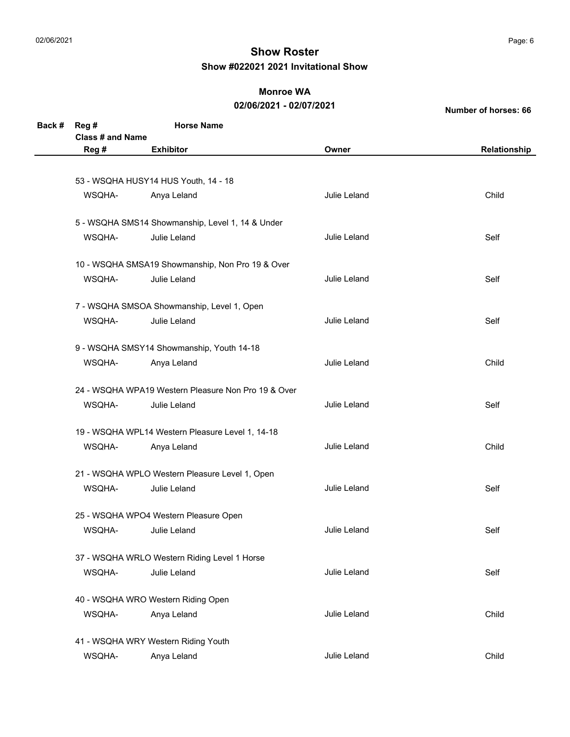### **Monroe WA**

#### **02/06/2021 - 02/07/2021**

| Back # | Reg #                   | <b>Horse Name</b>                                   |              |              |
|--------|-------------------------|-----------------------------------------------------|--------------|--------------|
|        | <b>Class # and Name</b> |                                                     |              |              |
|        | Reg #                   | <b>Exhibitor</b>                                    | Owner        | Relationship |
|        |                         |                                                     |              |              |
|        |                         | 53 - WSQHA HUSY14 HUS Youth, 14 - 18                |              |              |
|        | WSQHA-                  | Anya Leland                                         | Julie Leland | Child        |
|        |                         | 5 - WSQHA SMS14 Showmanship, Level 1, 14 & Under    |              |              |
|        | WSQHA-                  | Julie Leland                                        | Julie Leland | Self         |
|        |                         | 10 - WSQHA SMSA19 Showmanship, Non Pro 19 & Over    |              |              |
|        | WSQHA-                  | Julie Leland                                        | Julie Leland | Self         |
|        |                         | 7 - WSQHA SMSOA Showmanship, Level 1, Open          |              |              |
|        | WSQHA-                  | Julie Leland                                        | Julie Leland | Self         |
|        |                         | 9 - WSQHA SMSY14 Showmanship, Youth 14-18           |              |              |
|        | WSQHA-                  | Anya Leland                                         | Julie Leland | Child        |
|        |                         | 24 - WSQHA WPA19 Western Pleasure Non Pro 19 & Over |              |              |
|        | WSQHA-                  | Julie Leland                                        | Julie Leland | Self         |
|        |                         | 19 - WSQHA WPL14 Western Pleasure Level 1, 14-18    |              |              |
|        | WSQHA-                  | Anya Leland                                         | Julie Leland | Child        |
|        |                         | 21 - WSQHA WPLO Western Pleasure Level 1, Open      |              |              |
|        | WSQHA-                  | Julie Leland                                        | Julie Leland | Self         |
|        |                         | 25 - WSQHA WPO4 Western Pleasure Open               |              |              |
|        | WSQHA-                  | Julie Leland                                        | Julie Leland | Self         |
|        |                         | 37 - WSQHA WRLO Western Riding Level 1 Horse        |              |              |
|        | WSQHA-                  | Julie Leland                                        | Julie Leland | Self         |
|        |                         | 40 - WSQHA WRO Western Riding Open                  |              |              |
|        | WSQHA-                  | Anya Leland                                         | Julie Leland | Child        |
|        |                         | 41 - WSQHA WRY Western Riding Youth                 |              |              |
|        | WSQHA-                  | Anya Leland                                         | Julie Leland | Child        |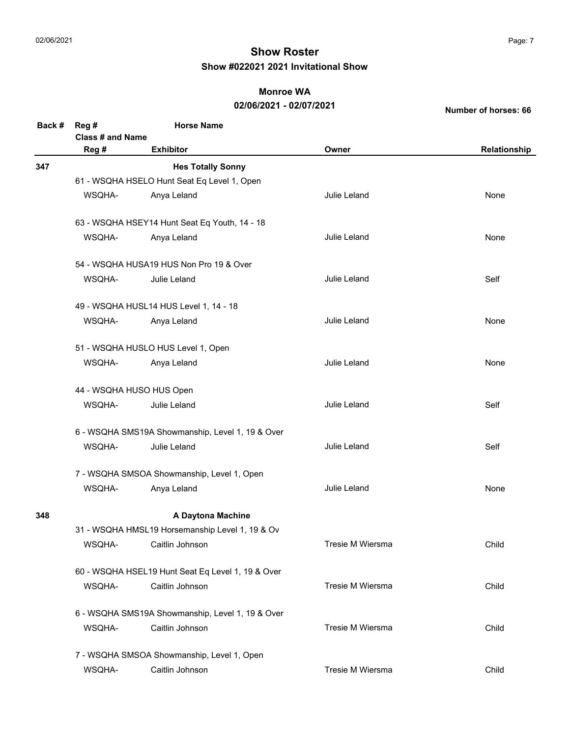### **Monroe WA**

### **02/06/2021 - 02/07/2021**

| Back # | Reg #                    | <b>Horse Name</b>                                 |                  |              |  |  |  |
|--------|--------------------------|---------------------------------------------------|------------------|--------------|--|--|--|
|        | <b>Class # and Name</b>  |                                                   |                  |              |  |  |  |
|        | Reg #                    | <b>Exhibitor</b>                                  | Owner            | Relationship |  |  |  |
| 347    |                          | <b>Hes Totally Sonny</b>                          |                  |              |  |  |  |
|        |                          | 61 - WSQHA HSELO Hunt Seat Eq Level 1, Open       |                  |              |  |  |  |
|        | WSQHA-                   | Anya Leland                                       | Julie Leland     | None         |  |  |  |
|        |                          |                                                   |                  |              |  |  |  |
|        |                          | 63 - WSQHA HSEY14 Hunt Seat Eq Youth, 14 - 18     |                  |              |  |  |  |
|        | WSQHA-                   | Anya Leland                                       | Julie Leland     | None         |  |  |  |
|        |                          | 54 - WSQHA HUSA19 HUS Non Pro 19 & Over           |                  |              |  |  |  |
|        | WSQHA-                   | Julie Leland                                      | Julie Leland     | Self         |  |  |  |
|        |                          |                                                   |                  |              |  |  |  |
|        |                          | 49 - WSQHA HUSL14 HUS Level 1, 14 - 18            |                  |              |  |  |  |
|        | WSQHA-                   | Anya Leland                                       | Julie Leland     | None         |  |  |  |
|        |                          | 51 - WSQHA HUSLO HUS Level 1, Open                |                  |              |  |  |  |
|        | WSQHA-                   | Anya Leland                                       | Julie Leland     | None         |  |  |  |
|        | 44 - WSQHA HUSO HUS Open |                                                   |                  |              |  |  |  |
|        | WSQHA-                   | Julie Leland                                      | Julie Leland     | Self         |  |  |  |
|        |                          | 6 - WSQHA SMS19A Showmanship, Level 1, 19 & Over  |                  |              |  |  |  |
|        | WSQHA-                   | Julie Leland                                      | Julie Leland     | Self         |  |  |  |
|        |                          | 7 - WSQHA SMSOA Showmanship, Level 1, Open        |                  |              |  |  |  |
|        | WSQHA-                   | Anya Leland                                       | Julie Leland     | None         |  |  |  |
| 348    |                          | A Daytona Machine                                 |                  |              |  |  |  |
|        |                          | 31 - WSQHA HMSL19 Horsemanship Level 1, 19 & Ov   |                  |              |  |  |  |
|        | WSQHA-                   | Caitlin Johnson                                   | Tresie M Wiersma | Child        |  |  |  |
|        |                          | 60 - WSQHA HSEL19 Hunt Seat Eq Level 1, 19 & Over |                  |              |  |  |  |
|        | WSQHA-                   | Caitlin Johnson                                   | Tresie M Wiersma | Child        |  |  |  |
|        |                          | 6 - WSQHA SMS19A Showmanship, Level 1, 19 & Over  |                  |              |  |  |  |
|        | WSQHA-                   | Caitlin Johnson                                   | Tresie M Wiersma | Child        |  |  |  |
|        |                          | 7 - WSQHA SMSOA Showmanship, Level 1, Open        |                  |              |  |  |  |
|        | WSQHA-                   | Caitlin Johnson                                   | Tresie M Wiersma | Child        |  |  |  |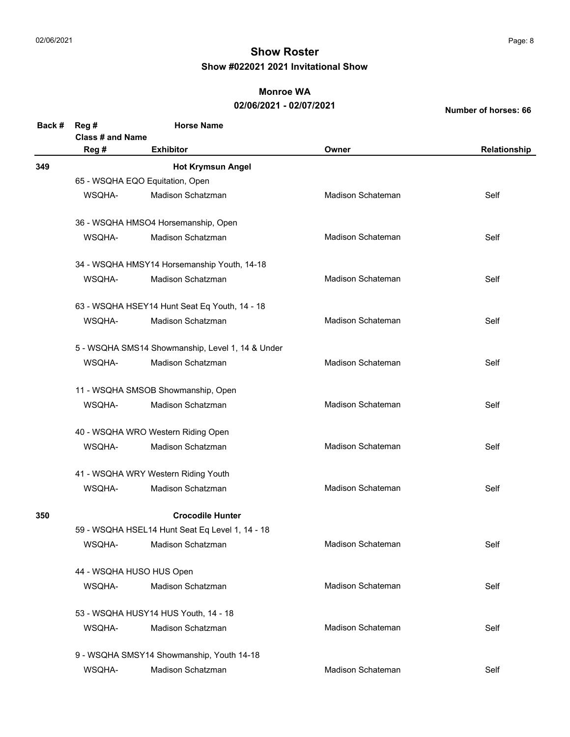### **Monroe WA**

### **02/06/2021 - 02/07/2021**

| Back # | Reg #                                                                                                                                                                                                                                                           | <b>Horse Name</b>                               |                          |              |  |  |  |
|--------|-----------------------------------------------------------------------------------------------------------------------------------------------------------------------------------------------------------------------------------------------------------------|-------------------------------------------------|--------------------------|--------------|--|--|--|
|        | <b>Class # and Name</b>                                                                                                                                                                                                                                         |                                                 |                          |              |  |  |  |
|        | Reg #                                                                                                                                                                                                                                                           | <b>Exhibitor</b>                                | Owner                    | Relationship |  |  |  |
| 349    |                                                                                                                                                                                                                                                                 | <b>Hot Krymsun Angel</b>                        |                          |              |  |  |  |
|        |                                                                                                                                                                                                                                                                 | 65 - WSQHA EQO Equitation, Open                 |                          |              |  |  |  |
|        | WSQHA-                                                                                                                                                                                                                                                          | Madison Schatzman                               | Madison Schateman        | Self         |  |  |  |
|        |                                                                                                                                                                                                                                                                 | 36 - WSQHA HMSO4 Horsemanship, Open             |                          |              |  |  |  |
|        | WSQHA-                                                                                                                                                                                                                                                          | Madison Schatzman                               | Madison Schateman        | Self         |  |  |  |
|        |                                                                                                                                                                                                                                                                 | 34 - WSQHA HMSY14 Horsemanship Youth, 14-18     |                          |              |  |  |  |
|        | WSQHA-                                                                                                                                                                                                                                                          | Madison Schatzman                               | <b>Madison Schateman</b> | Self         |  |  |  |
|        |                                                                                                                                                                                                                                                                 |                                                 |                          |              |  |  |  |
|        | WSQHA-                                                                                                                                                                                                                                                          | Madison Schatzman                               | <b>Madison Schateman</b> | Self         |  |  |  |
|        | 63 - WSQHA HSEY14 Hunt Seat Eq Youth, 14 - 18<br>5 - WSQHA SMS14 Showmanship, Level 1, 14 & Under<br>Madison Schateman<br>WSQHA-<br>Madison Schatzman<br>Self<br>11 - WSQHA SMSOB Showmanship, Open<br>Madison Schateman<br>WSQHA-<br>Madison Schatzman<br>Self |                                                 |                          |              |  |  |  |
|        |                                                                                                                                                                                                                                                                 |                                                 |                          |              |  |  |  |
|        |                                                                                                                                                                                                                                                                 |                                                 |                          |              |  |  |  |
|        |                                                                                                                                                                                                                                                                 |                                                 |                          |              |  |  |  |
|        |                                                                                                                                                                                                                                                                 | 40 - WSQHA WRO Western Riding Open              |                          |              |  |  |  |
|        | WSQHA-                                                                                                                                                                                                                                                          | Madison Schatzman                               | Madison Schateman        | Self         |  |  |  |
|        |                                                                                                                                                                                                                                                                 | 41 - WSQHA WRY Western Riding Youth             |                          |              |  |  |  |
|        | WSQHA-                                                                                                                                                                                                                                                          | Madison Schatzman                               | <b>Madison Schateman</b> | Self         |  |  |  |
| 350    |                                                                                                                                                                                                                                                                 | <b>Crocodile Hunter</b>                         |                          |              |  |  |  |
|        |                                                                                                                                                                                                                                                                 | 59 - WSQHA HSEL14 Hunt Seat Eq Level 1, 14 - 18 |                          |              |  |  |  |
|        | WSQHA-                                                                                                                                                                                                                                                          | Madison Schatzman                               | Madison Schateman        | Self         |  |  |  |
|        |                                                                                                                                                                                                                                                                 | 44 - WSQHA HUSO HUS Open                        |                          |              |  |  |  |
|        | WSQHA-                                                                                                                                                                                                                                                          | Madison Schatzman                               | <b>Madison Schateman</b> | Self         |  |  |  |
|        |                                                                                                                                                                                                                                                                 | 53 - WSQHA HUSY14 HUS Youth, 14 - 18            |                          |              |  |  |  |
|        | WSQHA-                                                                                                                                                                                                                                                          | Madison Schatzman                               | <b>Madison Schateman</b> | Self         |  |  |  |
|        |                                                                                                                                                                                                                                                                 | 9 - WSQHA SMSY14 Showmanship, Youth 14-18       |                          |              |  |  |  |
|        | WSQHA-                                                                                                                                                                                                                                                          | Madison Schatzman                               | Madison Schateman        | Self         |  |  |  |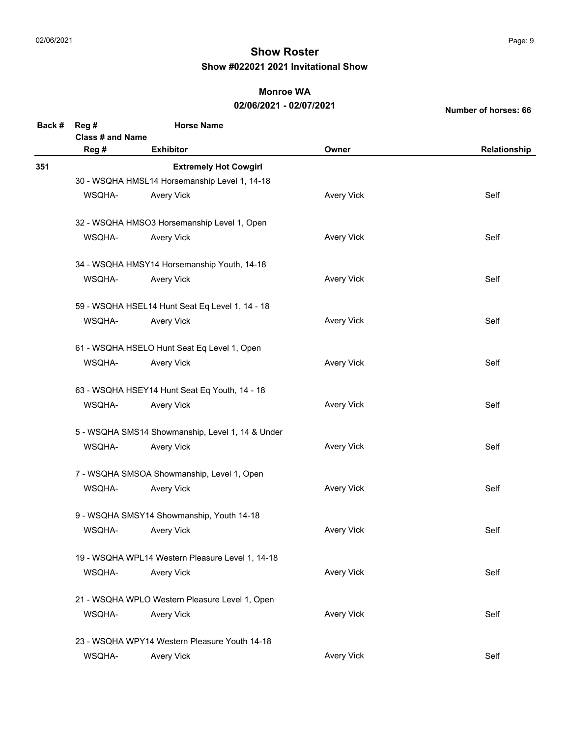### **Monroe WA**

### **02/06/2021 - 02/07/2021**

| Back # | Reg #                                                                                                                                                                                                                                                                                                                                                                                                                                                                                                                                                                                                                                                                                                                                                                                                                                                                                                                                                                                                                                                                          | <b>Horse Name</b>                             |                   |              |  |
|--------|--------------------------------------------------------------------------------------------------------------------------------------------------------------------------------------------------------------------------------------------------------------------------------------------------------------------------------------------------------------------------------------------------------------------------------------------------------------------------------------------------------------------------------------------------------------------------------------------------------------------------------------------------------------------------------------------------------------------------------------------------------------------------------------------------------------------------------------------------------------------------------------------------------------------------------------------------------------------------------------------------------------------------------------------------------------------------------|-----------------------------------------------|-------------------|--------------|--|
|        | Reg #                                                                                                                                                                                                                                                                                                                                                                                                                                                                                                                                                                                                                                                                                                                                                                                                                                                                                                                                                                                                                                                                          | <b>Exhibitor</b>                              | Owner             | Relationship |  |
| 351    |                                                                                                                                                                                                                                                                                                                                                                                                                                                                                                                                                                                                                                                                                                                                                                                                                                                                                                                                                                                                                                                                                | <b>Extremely Hot Cowgirl</b>                  |                   |              |  |
|        |                                                                                                                                                                                                                                                                                                                                                                                                                                                                                                                                                                                                                                                                                                                                                                                                                                                                                                                                                                                                                                                                                |                                               |                   |              |  |
|        | WSQHA-                                                                                                                                                                                                                                                                                                                                                                                                                                                                                                                                                                                                                                                                                                                                                                                                                                                                                                                                                                                                                                                                         | <b>Avery Vick</b>                             | <b>Avery Vick</b> | Self         |  |
|        |                                                                                                                                                                                                                                                                                                                                                                                                                                                                                                                                                                                                                                                                                                                                                                                                                                                                                                                                                                                                                                                                                |                                               |                   |              |  |
|        | WSQHA-                                                                                                                                                                                                                                                                                                                                                                                                                                                                                                                                                                                                                                                                                                                                                                                                                                                                                                                                                                                                                                                                         | <b>Avery Vick</b>                             | <b>Avery Vick</b> | Self         |  |
|        |                                                                                                                                                                                                                                                                                                                                                                                                                                                                                                                                                                                                                                                                                                                                                                                                                                                                                                                                                                                                                                                                                |                                               |                   |              |  |
|        | WSQHA-                                                                                                                                                                                                                                                                                                                                                                                                                                                                                                                                                                                                                                                                                                                                                                                                                                                                                                                                                                                                                                                                         | <b>Avery Vick</b>                             | <b>Avery Vick</b> | Self         |  |
|        | <b>Class # and Name</b><br>30 - WSQHA HMSL14 Horsemanship Level 1, 14-18<br>32 - WSQHA HMSO3 Horsemanship Level 1, Open<br>34 - WSQHA HMSY14 Horsemanship Youth, 14-18<br>59 - WSQHA HSEL14 Hunt Seat Eq Level 1, 14 - 18<br><b>Avery Vick</b><br>WSQHA-<br><b>Avery Vick</b><br>Self<br>61 - WSQHA HSELO Hunt Seat Eq Level 1, Open<br><b>Avery Vick</b><br>WSQHA-<br><b>Avery Vick</b><br>Self<br>63 - WSQHA HSEY14 Hunt Seat Eq Youth, 14 - 18<br><b>Avery Vick</b><br>WSQHA-<br><b>Avery Vick</b><br>Self<br>5 - WSQHA SMS14 Showmanship, Level 1, 14 & Under<br>WSQHA-<br><b>Avery Vick</b><br>Self<br><b>Avery Vick</b><br>7 - WSQHA SMSOA Showmanship, Level 1, Open<br><b>Avery Vick</b><br>WSQHA-<br><b>Avery Vick</b><br>Self<br>9 - WSQHA SMSY14 Showmanship, Youth 14-18<br><b>Avery Vick</b><br>WSQHA-<br>Self<br><b>Avery Vick</b><br>19 - WSQHA WPL14 Western Pleasure Level 1, 14-18<br><b>Avery Vick</b><br>WSQHA-<br>Self<br><b>Avery Vick</b><br>21 - WSQHA WPLO Western Pleasure Level 1, Open<br><b>Avery Vick</b><br>WSQHA-<br><b>Avery Vick</b><br>Self |                                               |                   |              |  |
|        |                                                                                                                                                                                                                                                                                                                                                                                                                                                                                                                                                                                                                                                                                                                                                                                                                                                                                                                                                                                                                                                                                |                                               |                   |              |  |
|        |                                                                                                                                                                                                                                                                                                                                                                                                                                                                                                                                                                                                                                                                                                                                                                                                                                                                                                                                                                                                                                                                                |                                               |                   |              |  |
|        |                                                                                                                                                                                                                                                                                                                                                                                                                                                                                                                                                                                                                                                                                                                                                                                                                                                                                                                                                                                                                                                                                |                                               |                   |              |  |
|        |                                                                                                                                                                                                                                                                                                                                                                                                                                                                                                                                                                                                                                                                                                                                                                                                                                                                                                                                                                                                                                                                                |                                               |                   |              |  |
|        |                                                                                                                                                                                                                                                                                                                                                                                                                                                                                                                                                                                                                                                                                                                                                                                                                                                                                                                                                                                                                                                                                |                                               |                   |              |  |
|        |                                                                                                                                                                                                                                                                                                                                                                                                                                                                                                                                                                                                                                                                                                                                                                                                                                                                                                                                                                                                                                                                                |                                               |                   |              |  |
|        |                                                                                                                                                                                                                                                                                                                                                                                                                                                                                                                                                                                                                                                                                                                                                                                                                                                                                                                                                                                                                                                                                |                                               |                   |              |  |
|        |                                                                                                                                                                                                                                                                                                                                                                                                                                                                                                                                                                                                                                                                                                                                                                                                                                                                                                                                                                                                                                                                                |                                               |                   |              |  |
|        |                                                                                                                                                                                                                                                                                                                                                                                                                                                                                                                                                                                                                                                                                                                                                                                                                                                                                                                                                                                                                                                                                |                                               |                   |              |  |
|        |                                                                                                                                                                                                                                                                                                                                                                                                                                                                                                                                                                                                                                                                                                                                                                                                                                                                                                                                                                                                                                                                                |                                               |                   |              |  |
|        |                                                                                                                                                                                                                                                                                                                                                                                                                                                                                                                                                                                                                                                                                                                                                                                                                                                                                                                                                                                                                                                                                |                                               |                   |              |  |
|        |                                                                                                                                                                                                                                                                                                                                                                                                                                                                                                                                                                                                                                                                                                                                                                                                                                                                                                                                                                                                                                                                                |                                               |                   |              |  |
|        |                                                                                                                                                                                                                                                                                                                                                                                                                                                                                                                                                                                                                                                                                                                                                                                                                                                                                                                                                                                                                                                                                |                                               |                   |              |  |
|        |                                                                                                                                                                                                                                                                                                                                                                                                                                                                                                                                                                                                                                                                                                                                                                                                                                                                                                                                                                                                                                                                                |                                               |                   |              |  |
|        |                                                                                                                                                                                                                                                                                                                                                                                                                                                                                                                                                                                                                                                                                                                                                                                                                                                                                                                                                                                                                                                                                |                                               |                   |              |  |
|        |                                                                                                                                                                                                                                                                                                                                                                                                                                                                                                                                                                                                                                                                                                                                                                                                                                                                                                                                                                                                                                                                                | 23 - WSQHA WPY14 Western Pleasure Youth 14-18 |                   |              |  |
|        | WSQHA-                                                                                                                                                                                                                                                                                                                                                                                                                                                                                                                                                                                                                                                                                                                                                                                                                                                                                                                                                                                                                                                                         | <b>Avery Vick</b>                             | <b>Avery Vick</b> | Self         |  |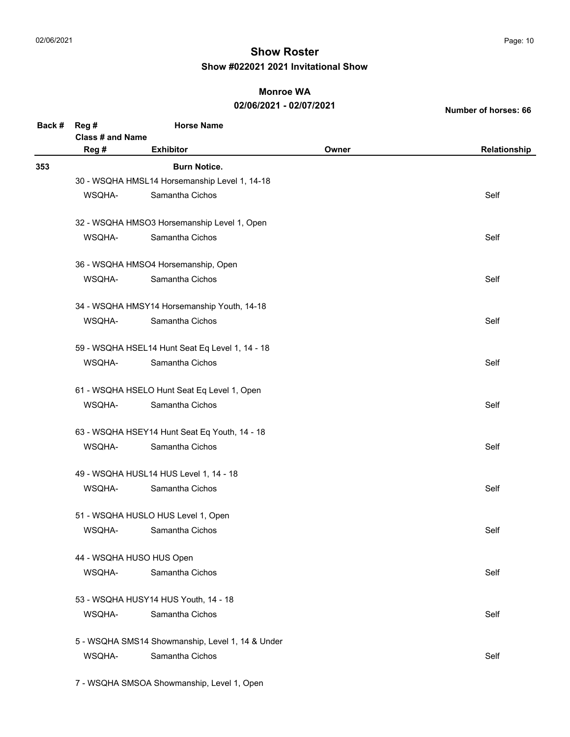### **Monroe WA**

### **02/06/2021 - 02/07/2021**

**Number of horses: 66**

| Back # | Reg #                                                                                                                                                                                                                                                                                                                                                                                                                                                                                                                                                                                                                                                                                                                                                                                             | <b>Horse Name</b>                                |       |              |  |
|--------|---------------------------------------------------------------------------------------------------------------------------------------------------------------------------------------------------------------------------------------------------------------------------------------------------------------------------------------------------------------------------------------------------------------------------------------------------------------------------------------------------------------------------------------------------------------------------------------------------------------------------------------------------------------------------------------------------------------------------------------------------------------------------------------------------|--------------------------------------------------|-------|--------------|--|
|        | <b>Class # and Name</b>                                                                                                                                                                                                                                                                                                                                                                                                                                                                                                                                                                                                                                                                                                                                                                           |                                                  |       |              |  |
|        | Reg #                                                                                                                                                                                                                                                                                                                                                                                                                                                                                                                                                                                                                                                                                                                                                                                             | <b>Exhibitor</b>                                 | Owner | Relationship |  |
| 353    |                                                                                                                                                                                                                                                                                                                                                                                                                                                                                                                                                                                                                                                                                                                                                                                                   | <b>Burn Notice.</b>                              |       |              |  |
|        |                                                                                                                                                                                                                                                                                                                                                                                                                                                                                                                                                                                                                                                                                                                                                                                                   |                                                  |       |              |  |
|        | WSQHA-                                                                                                                                                                                                                                                                                                                                                                                                                                                                                                                                                                                                                                                                                                                                                                                            | Samantha Cichos                                  |       | Self         |  |
|        |                                                                                                                                                                                                                                                                                                                                                                                                                                                                                                                                                                                                                                                                                                                                                                                                   |                                                  |       |              |  |
|        | WSQHA-                                                                                                                                                                                                                                                                                                                                                                                                                                                                                                                                                                                                                                                                                                                                                                                            | Samantha Cichos                                  |       | Self         |  |
|        |                                                                                                                                                                                                                                                                                                                                                                                                                                                                                                                                                                                                                                                                                                                                                                                                   |                                                  |       |              |  |
|        | WSQHA-                                                                                                                                                                                                                                                                                                                                                                                                                                                                                                                                                                                                                                                                                                                                                                                            | Samantha Cichos                                  |       | Self         |  |
|        | 30 - WSQHA HMSL14 Horsemanship Level 1, 14-18<br>32 - WSQHA HMSO3 Horsemanship Level 1, Open<br>36 - WSQHA HMSO4 Horsemanship, Open<br>34 - WSQHA HMSY14 Horsemanship Youth, 14-18<br>Samantha Cichos<br>WSQHA-<br>Self<br>59 - WSQHA HSEL14 Hunt Seat Eq Level 1, 14 - 18<br>Samantha Cichos<br>Self<br>WSQHA-<br>61 - WSQHA HSELO Hunt Seat Eq Level 1, Open<br>WSQHA-<br>Samantha Cichos<br>Self<br>63 - WSQHA HSEY14 Hunt Seat Eq Youth, 14 - 18<br>Samantha Cichos<br>Self<br>WSQHA-<br>49 - WSQHA HUSL14 HUS Level 1, 14 - 18<br>Samantha Cichos<br>WSQHA-<br>Self<br>51 - WSQHA HUSLO HUS Level 1, Open<br>WSQHA-<br>Samantha Cichos<br>Self<br>44 - WSQHA HUSO HUS Open<br>Samantha Cichos<br>WSQHA-<br>Self<br>53 - WSQHA HUSY14 HUS Youth, 14 - 18<br>WSQHA-<br>Samantha Cichos<br>Self |                                                  |       |              |  |
|        |                                                                                                                                                                                                                                                                                                                                                                                                                                                                                                                                                                                                                                                                                                                                                                                                   |                                                  |       |              |  |
|        |                                                                                                                                                                                                                                                                                                                                                                                                                                                                                                                                                                                                                                                                                                                                                                                                   |                                                  |       |              |  |
|        |                                                                                                                                                                                                                                                                                                                                                                                                                                                                                                                                                                                                                                                                                                                                                                                                   |                                                  |       |              |  |
|        |                                                                                                                                                                                                                                                                                                                                                                                                                                                                                                                                                                                                                                                                                                                                                                                                   |                                                  |       |              |  |
|        |                                                                                                                                                                                                                                                                                                                                                                                                                                                                                                                                                                                                                                                                                                                                                                                                   |                                                  |       |              |  |
|        |                                                                                                                                                                                                                                                                                                                                                                                                                                                                                                                                                                                                                                                                                                                                                                                                   |                                                  |       |              |  |
|        |                                                                                                                                                                                                                                                                                                                                                                                                                                                                                                                                                                                                                                                                                                                                                                                                   |                                                  |       |              |  |
|        |                                                                                                                                                                                                                                                                                                                                                                                                                                                                                                                                                                                                                                                                                                                                                                                                   |                                                  |       |              |  |
|        |                                                                                                                                                                                                                                                                                                                                                                                                                                                                                                                                                                                                                                                                                                                                                                                                   |                                                  |       |              |  |
|        |                                                                                                                                                                                                                                                                                                                                                                                                                                                                                                                                                                                                                                                                                                                                                                                                   |                                                  |       |              |  |
|        |                                                                                                                                                                                                                                                                                                                                                                                                                                                                                                                                                                                                                                                                                                                                                                                                   |                                                  |       |              |  |
|        |                                                                                                                                                                                                                                                                                                                                                                                                                                                                                                                                                                                                                                                                                                                                                                                                   |                                                  |       |              |  |
|        |                                                                                                                                                                                                                                                                                                                                                                                                                                                                                                                                                                                                                                                                                                                                                                                                   |                                                  |       |              |  |
|        |                                                                                                                                                                                                                                                                                                                                                                                                                                                                                                                                                                                                                                                                                                                                                                                                   |                                                  |       |              |  |
|        |                                                                                                                                                                                                                                                                                                                                                                                                                                                                                                                                                                                                                                                                                                                                                                                                   |                                                  |       |              |  |
|        |                                                                                                                                                                                                                                                                                                                                                                                                                                                                                                                                                                                                                                                                                                                                                                                                   | 5 - WSQHA SMS14 Showmanship, Level 1, 14 & Under |       |              |  |
|        | WSQHA-                                                                                                                                                                                                                                                                                                                                                                                                                                                                                                                                                                                                                                                                                                                                                                                            | Samantha Cichos                                  |       | Self         |  |
|        |                                                                                                                                                                                                                                                                                                                                                                                                                                                                                                                                                                                                                                                                                                                                                                                                   |                                                  |       |              |  |

7 - WSQHA SMSOA Showmanship, Level 1, Open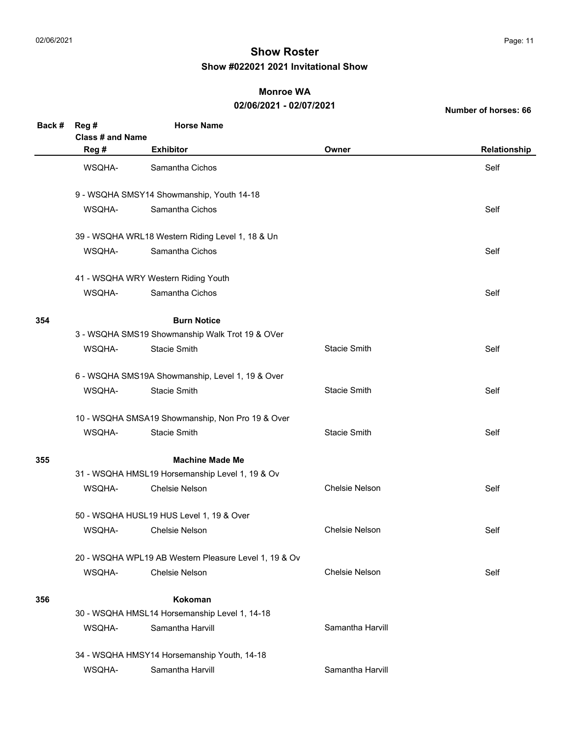#### **Monroe WA**

#### **02/06/2021 - 02/07/2021**

| Back # | Reg#<br>Class # and Name | <b>Horse Name</b>                                     |                       |              |
|--------|--------------------------|-------------------------------------------------------|-----------------------|--------------|
|        | Reg #                    | <b>Exhibitor</b>                                      | Owner                 | Relationship |
|        | WSQHA-                   | Samantha Cichos                                       |                       | Self         |
|        |                          | 9 - WSQHA SMSY14 Showmanship, Youth 14-18             |                       |              |
|        | WSQHA-                   | Samantha Cichos                                       |                       | Self         |
|        |                          | 39 - WSQHA WRL18 Western Riding Level 1, 18 & Un      |                       |              |
|        | WSQHA-                   | Samantha Cichos                                       |                       | Self         |
|        |                          | 41 - WSQHA WRY Western Riding Youth                   |                       |              |
|        | WSQHA-                   | Samantha Cichos                                       |                       | Self         |
| 354    |                          | <b>Burn Notice</b>                                    |                       |              |
|        |                          | 3 - WSQHA SMS19 Showmanship Walk Trot 19 & OVer       |                       |              |
|        | WSQHA-                   | <b>Stacie Smith</b>                                   | <b>Stacie Smith</b>   | Self         |
|        |                          | 6 - WSQHA SMS19A Showmanship, Level 1, 19 & Over      |                       |              |
|        | WSQHA-                   | <b>Stacie Smith</b>                                   | <b>Stacie Smith</b>   | Self         |
|        |                          | 10 - WSQHA SMSA19 Showmanship, Non Pro 19 & Over      |                       |              |
|        | WSQHA-                   | <b>Stacie Smith</b>                                   | <b>Stacie Smith</b>   | Self         |
| 355    |                          | <b>Machine Made Me</b>                                |                       |              |
|        |                          | 31 - WSQHA HMSL19 Horsemanship Level 1, 19 & Ov       |                       |              |
|        | WSQHA-                   | <b>Chelsie Nelson</b>                                 | <b>Chelsie Nelson</b> | Self         |
|        |                          | 50 - WSQHA HUSL19 HUS Level 1, 19 & Over              |                       |              |
|        | WSQHA-                   | <b>Chelsie Nelson</b>                                 | <b>Chelsie Nelson</b> | Self         |
|        |                          | 20 - WSQHA WPL19 AB Western Pleasure Level 1, 19 & Ov |                       |              |
|        | WSQHA-                   | <b>Chelsie Nelson</b>                                 | <b>Chelsie Nelson</b> | Self         |
| 356    |                          | <b>Kokoman</b>                                        |                       |              |
|        |                          | 30 - WSQHA HMSL14 Horsemanship Level 1, 14-18         |                       |              |
|        | WSQHA-                   | Samantha Harvill                                      | Samantha Harvill      |              |
|        |                          | 34 - WSQHA HMSY14 Horsemanship Youth, 14-18           |                       |              |
|        | WSQHA-                   | Samantha Harvill                                      | Samantha Harvill      |              |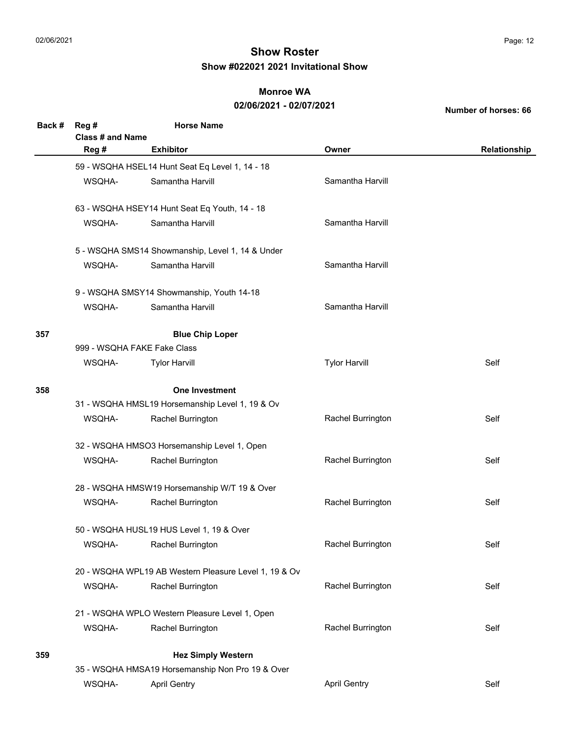#### **Monroe WA**

### **02/06/2021 - 02/07/2021**

| Back # | Reg#             | <b>Horse Name</b>                                     |                      |              |
|--------|------------------|-------------------------------------------------------|----------------------|--------------|
|        | Class # and Name |                                                       |                      |              |
|        | Reg #            | <b>Exhibitor</b>                                      | Owner                | Relationship |
|        |                  | 59 - WSQHA HSEL14 Hunt Seat Eq Level 1, 14 - 18       |                      |              |
|        | WSQHA-           | Samantha Harvill                                      | Samantha Harvill     |              |
|        |                  | 63 - WSQHA HSEY14 Hunt Seat Eq Youth, 14 - 18         |                      |              |
|        | WSQHA-           | Samantha Harvill                                      | Samantha Harvill     |              |
|        |                  | 5 - WSQHA SMS14 Showmanship, Level 1, 14 & Under      |                      |              |
|        | WSQHA-           | Samantha Harvill                                      | Samantha Harvill     |              |
|        |                  | 9 - WSQHA SMSY14 Showmanship, Youth 14-18             |                      |              |
|        | WSQHA-           | Samantha Harvill                                      | Samantha Harvill     |              |
| 357    |                  | <b>Blue Chip Loper</b>                                |                      |              |
|        |                  | 999 - WSQHA FAKE Fake Class                           |                      |              |
|        | WSQHA-           | <b>Tylor Harvill</b>                                  | <b>Tylor Harvill</b> | Self         |
| 358    |                  | <b>One Investment</b>                                 |                      |              |
|        |                  | 31 - WSQHA HMSL19 Horsemanship Level 1, 19 & Ov       |                      |              |
|        | WSQHA-           | Rachel Burrington                                     | Rachel Burrington    | Self         |
|        |                  | 32 - WSQHA HMSO3 Horsemanship Level 1, Open           |                      |              |
|        | WSQHA-           | Rachel Burrington                                     | Rachel Burrington    | Self         |
|        |                  | 28 - WSQHA HMSW19 Horsemanship W/T 19 & Over          |                      |              |
|        | WSQHA-           | Rachel Burrington                                     | Rachel Burrington    | Self         |
|        |                  | 50 - WSQHA HUSL19 HUS Level 1, 19 & Over              |                      |              |
|        | WSQHA-           | Rachel Burrington                                     | Rachel Burrington    | Self         |
|        |                  | 20 - WSQHA WPL19 AB Western Pleasure Level 1, 19 & Ov |                      |              |
|        | WSQHA-           | Rachel Burrington                                     | Rachel Burrington    | Self         |
|        |                  | 21 - WSQHA WPLO Western Pleasure Level 1, Open        |                      |              |
|        | WSQHA-           | Rachel Burrington                                     | Rachel Burrington    | Self         |
| 359    |                  | <b>Hez Simply Western</b>                             |                      |              |
|        |                  | 35 - WSQHA HMSA19 Horsemanship Non Pro 19 & Over      |                      |              |
|        | WSQHA-           | <b>April Gentry</b>                                   | <b>April Gentry</b>  | Self         |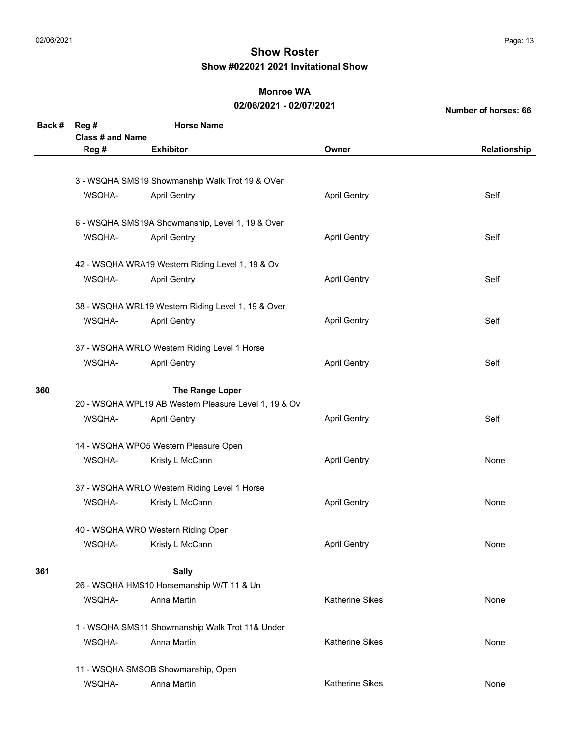### **Monroe WA**

### **02/06/2021 - 02/07/2021**

| Back # | Reg #                   | <b>Horse Name</b>                                     |                        |              |
|--------|-------------------------|-------------------------------------------------------|------------------------|--------------|
|        | <b>Class # and Name</b> |                                                       |                        |              |
|        | Reg #                   | <b>Exhibitor</b>                                      | Owner                  | Relationship |
|        |                         |                                                       |                        |              |
|        |                         | 3 - WSQHA SMS19 Showmanship Walk Trot 19 & OVer       |                        |              |
|        | WSQHA-                  | <b>April Gentry</b>                                   | <b>April Gentry</b>    | Self         |
|        |                         |                                                       |                        |              |
|        |                         | 6 - WSQHA SMS19A Showmanship, Level 1, 19 & Over      |                        |              |
|        | WSQHA-                  | <b>April Gentry</b>                                   | <b>April Gentry</b>    | Self         |
|        |                         |                                                       |                        |              |
|        |                         | 42 - WSQHA WRA19 Western Riding Level 1, 19 & Ov      |                        |              |
|        | WSQHA-                  | <b>April Gentry</b>                                   | <b>April Gentry</b>    | Self         |
|        |                         |                                                       |                        |              |
|        |                         | 38 - WSQHA WRL19 Western Riding Level 1, 19 & Over    |                        |              |
|        | WSQHA-                  | <b>April Gentry</b>                                   | <b>April Gentry</b>    | Self         |
|        |                         |                                                       |                        |              |
|        |                         | 37 - WSQHA WRLO Western Riding Level 1 Horse          |                        |              |
|        | WSQHA-                  | <b>April Gentry</b>                                   | <b>April Gentry</b>    | Self         |
|        |                         |                                                       |                        |              |
| 360    |                         | The Range Loper                                       |                        |              |
|        |                         | 20 - WSQHA WPL19 AB Western Pleasure Level 1, 19 & Ov |                        |              |
|        | WSQHA-                  | <b>April Gentry</b>                                   | <b>April Gentry</b>    | Self         |
|        |                         |                                                       |                        |              |
|        |                         | 14 - WSQHA WPO5 Western Pleasure Open                 |                        |              |
|        | WSQHA-                  | Kristy L McCann                                       | <b>April Gentry</b>    | None         |
|        |                         |                                                       |                        |              |
|        |                         | 37 - WSQHA WRLO Western Riding Level 1 Horse          |                        |              |
|        | WSQHA-                  | Kristy L McCann                                       | <b>April Gentry</b>    | None         |
|        |                         |                                                       |                        |              |
|        |                         | 40 - WSQHA WRO Western Riding Open                    |                        |              |
|        | WSQHA-                  | Kristy L McCann                                       | <b>April Gentry</b>    | None         |
|        |                         |                                                       |                        |              |
| 361    |                         | <b>Sally</b>                                          |                        |              |
|        |                         | 26 - WSQHA HMS10 Horsemanship W/T 11 & Un             |                        |              |
|        | WSQHA-                  | Anna Martin                                           | <b>Katherine Sikes</b> | None         |
|        |                         |                                                       |                        |              |
|        |                         | 1 - WSQHA SMS11 Showmanship Walk Trot 11& Under       |                        |              |
|        | WSQHA-                  | Anna Martin                                           | <b>Katherine Sikes</b> | None         |
|        |                         | 11 - WSQHA SMSOB Showmanship, Open                    |                        |              |
|        |                         | Anna Martin                                           | Katherine Sikes        | None         |
|        | WSQHA-                  |                                                       |                        |              |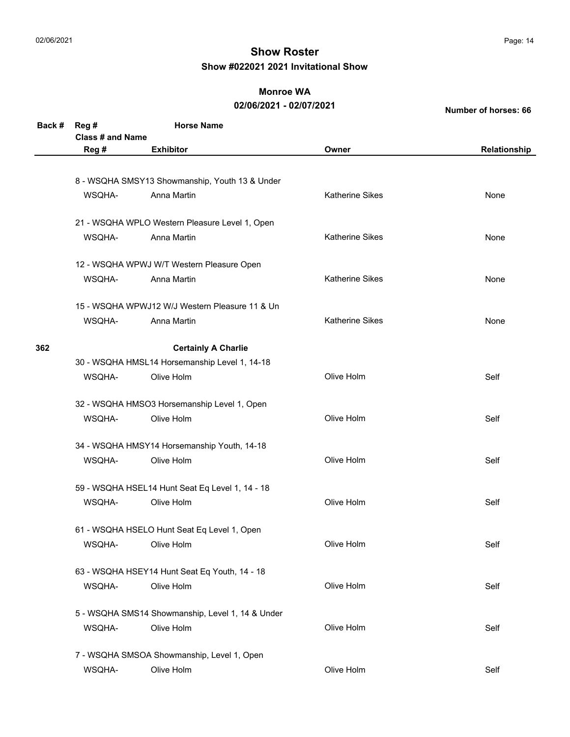#### **Monroe WA**

#### **02/06/2021 - 02/07/2021**

| Back # | Reg #<br>Class # and Name | <b>Horse Name</b>                                |                        |              |
|--------|---------------------------|--------------------------------------------------|------------------------|--------------|
|        | Reg #                     | <b>Exhibitor</b>                                 | Owner                  | Relationship |
|        |                           |                                                  |                        |              |
|        |                           | 8 - WSQHA SMSY13 Showmanship, Youth 13 & Under   |                        |              |
|        | WSQHA-                    | Anna Martin                                      | <b>Katherine Sikes</b> | None         |
|        |                           | 21 - WSQHA WPLO Western Pleasure Level 1, Open   |                        |              |
|        | WSQHA-                    | Anna Martin                                      | <b>Katherine Sikes</b> | None         |
|        |                           | 12 - WSQHA WPWJ W/T Western Pleasure Open        |                        |              |
|        | WSQHA-                    | Anna Martin                                      | <b>Katherine Sikes</b> | None         |
|        |                           | 15 - WSQHA WPWJ12 W/J Western Pleasure 11 & Un   |                        |              |
|        | WSQHA-                    | Anna Martin                                      | <b>Katherine Sikes</b> | None         |
| 362    |                           | <b>Certainly A Charlie</b>                       |                        |              |
|        |                           | 30 - WSQHA HMSL14 Horsemanship Level 1, 14-18    |                        |              |
|        | WSQHA-                    | Olive Holm                                       | Olive Holm             | Self         |
|        |                           | 32 - WSQHA HMSO3 Horsemanship Level 1, Open      |                        |              |
|        | WSQHA-                    | Olive Holm                                       | Olive Holm             | Self         |
|        |                           | 34 - WSQHA HMSY14 Horsemanship Youth, 14-18      |                        |              |
|        | WSQHA-                    | Olive Holm                                       | Olive Holm             | Self         |
|        |                           | 59 - WSQHA HSEL14 Hunt Seat Eq Level 1, 14 - 18  |                        |              |
|        | WSQHA-                    | Olive Holm                                       | Olive Holm             | Self         |
|        |                           | 61 - WSQHA HSELO Hunt Seat Eq Level 1, Open      |                        |              |
|        | WSQHA-                    | Olive Holm                                       | Olive Holm             | Self         |
|        |                           | 63 - WSQHA HSEY14 Hunt Seat Eq Youth, 14 - 18    |                        |              |
|        | WSQHA-                    | Olive Holm                                       | Olive Holm             | Self         |
|        |                           | 5 - WSQHA SMS14 Showmanship, Level 1, 14 & Under |                        |              |
|        | WSQHA-                    | Olive Holm                                       | Olive Holm             | Self         |
|        |                           | 7 - WSQHA SMSOA Showmanship, Level 1, Open       |                        |              |
|        | WSQHA-                    | Olive Holm                                       | Olive Holm             | Self         |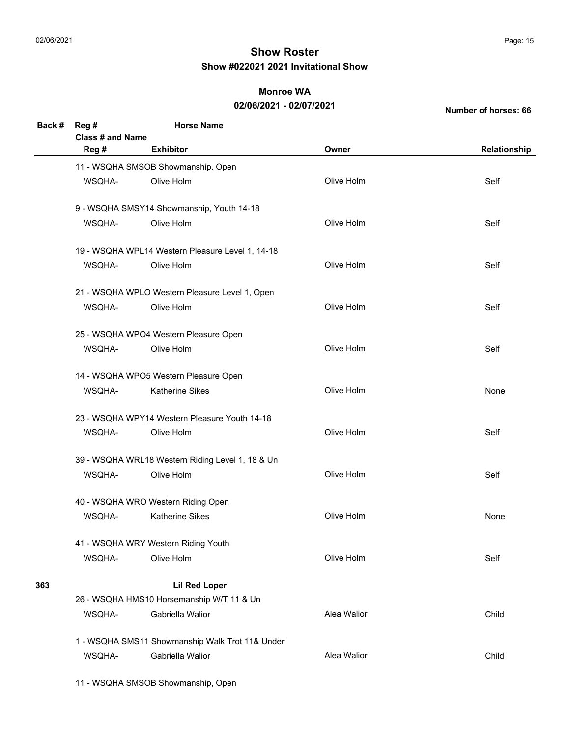### **Monroe WA**

#### **02/06/2021 - 02/07/2021**

**Number of horses: 66**

| Back # | Reg#                             | <b>Horse Name</b>                                |             |              |
|--------|----------------------------------|--------------------------------------------------|-------------|--------------|
|        | <b>Class # and Name</b><br>Reg # | <b>Exhibitor</b>                                 | Owner       | Relationship |
|        |                                  |                                                  |             |              |
|        | WSQHA-                           | 11 - WSQHA SMSOB Showmanship, Open<br>Olive Holm | Olive Holm  | Self         |
|        |                                  |                                                  |             |              |
|        |                                  | 9 - WSQHA SMSY14 Showmanship, Youth 14-18        |             |              |
|        | WSQHA-                           | Olive Holm                                       | Olive Holm  | Self         |
|        |                                  | 19 - WSQHA WPL14 Western Pleasure Level 1, 14-18 |             |              |
|        | WSQHA-                           | Olive Holm                                       | Olive Holm  | Self         |
|        |                                  | 21 - WSQHA WPLO Western Pleasure Level 1, Open   |             |              |
|        | WSQHA-                           | Olive Holm                                       | Olive Holm  | Self         |
|        |                                  | 25 - WSQHA WPO4 Western Pleasure Open            |             |              |
|        | WSQHA-                           | Olive Holm                                       | Olive Holm  | Self         |
|        |                                  | 14 - WSQHA WPO5 Western Pleasure Open            |             |              |
|        | WSQHA-                           | Katherine Sikes                                  | Olive Holm  | None         |
|        |                                  | 23 - WSQHA WPY14 Western Pleasure Youth 14-18    |             |              |
|        | WSQHA-                           | Olive Holm                                       | Olive Holm  | Self         |
|        |                                  | 39 - WSQHA WRL18 Western Riding Level 1, 18 & Un |             |              |
|        | WSQHA-                           | Olive Holm                                       | Olive Holm  | Self         |
|        |                                  | 40 - WSQHA WRO Western Riding Open               |             |              |
|        | WSQHA-                           | <b>Katherine Sikes</b>                           | Olive Holm  | None         |
|        |                                  | 41 - WSQHA WRY Western Riding Youth              |             |              |
|        | WSQHA-                           | Olive Holm                                       | Olive Holm  | Self         |
| 363    |                                  | <b>Lil Red Loper</b>                             |             |              |
|        |                                  | 26 - WSQHA HMS10 Horsemanship W/T 11 & Un        |             |              |
|        | WSQHA-                           | Gabriella Walior                                 | Alea Walior | Child        |
|        |                                  | 1 - WSQHA SMS11 Showmanship Walk Trot 11& Under  |             |              |
|        | WSQHA-                           | Gabriella Walior                                 | Alea Walior | Child        |

11 - WSQHA SMSOB Showmanship, Open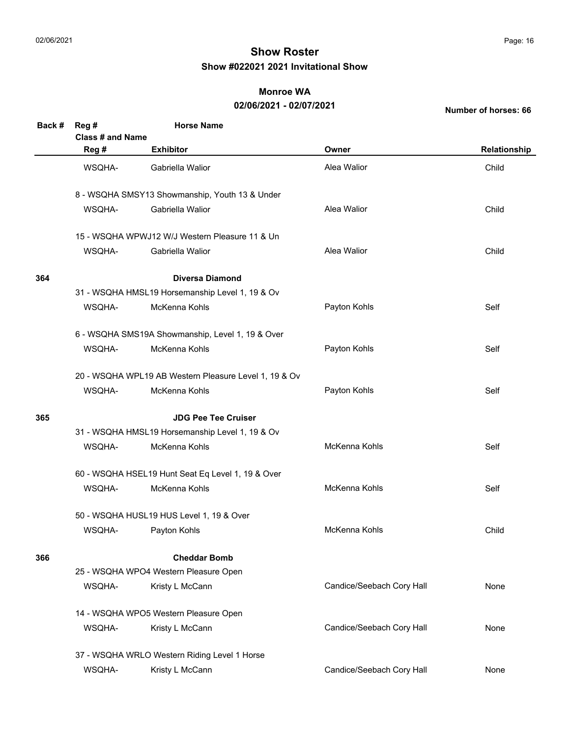### **Monroe WA**

### **02/06/2021 - 02/07/2021**

| Back # | Reg #            | <b>Horse Name</b>                                     |                           |              |
|--------|------------------|-------------------------------------------------------|---------------------------|--------------|
|        | Class # and Name |                                                       |                           |              |
|        | Reg #            | <b>Exhibitor</b>                                      | Owner                     | Relationship |
|        | WSQHA-           | Gabriella Walior                                      | Alea Walior               | Child        |
|        |                  | 8 - WSQHA SMSY13 Showmanship, Youth 13 & Under        |                           |              |
|        | WSQHA-           | Gabriella Walior                                      | Alea Walior               | Child        |
|        |                  | 15 - WSQHA WPWJ12 W/J Western Pleasure 11 & Un        |                           |              |
|        | WSQHA-           | Gabriella Walior                                      | Alea Walior               | Child        |
| 364    |                  | <b>Diversa Diamond</b>                                |                           |              |
|        |                  | 31 - WSQHA HMSL19 Horsemanship Level 1, 19 & Ov       |                           |              |
|        | WSQHA-           | McKenna Kohls                                         | Payton Kohls              | Self         |
|        |                  | 6 - WSQHA SMS19A Showmanship, Level 1, 19 & Over      |                           |              |
|        | WSQHA-           | McKenna Kohls                                         | Payton Kohls              | Self         |
|        |                  | 20 - WSQHA WPL19 AB Western Pleasure Level 1, 19 & Ov |                           |              |
|        | WSQHA-           | McKenna Kohls                                         | Payton Kohls              | Self         |
| 365    |                  | <b>JDG Pee Tee Cruiser</b>                            |                           |              |
|        |                  | 31 - WSQHA HMSL19 Horsemanship Level 1, 19 & Ov       |                           |              |
|        | WSQHA-           | McKenna Kohls                                         | McKenna Kohls             | Self         |
|        |                  | 60 - WSQHA HSEL19 Hunt Seat Eq Level 1, 19 & Over     |                           |              |
|        | WSQHA-           | McKenna Kohls                                         | McKenna Kohls             | Self         |
|        |                  | 50 - WSQHA HUSL19 HUS Level 1, 19 & Over              |                           |              |
|        | WSQHA-           | Payton Kohls                                          | McKenna Kohls             | Child        |
| 366    |                  | <b>Cheddar Bomb</b>                                   |                           |              |
|        |                  | 25 - WSQHA WPO4 Western Pleasure Open                 |                           |              |
|        | WSQHA-           | Kristy L McCann                                       | Candice/Seebach Cory Hall | None         |
|        |                  | 14 - WSQHA WPO5 Western Pleasure Open                 |                           |              |
|        | WSQHA-           | Kristy L McCann                                       | Candice/Seebach Cory Hall | None         |
|        |                  | 37 - WSQHA WRLO Western Riding Level 1 Horse          |                           |              |
|        | WSQHA-           | Kristy L McCann                                       | Candice/Seebach Cory Hall | None         |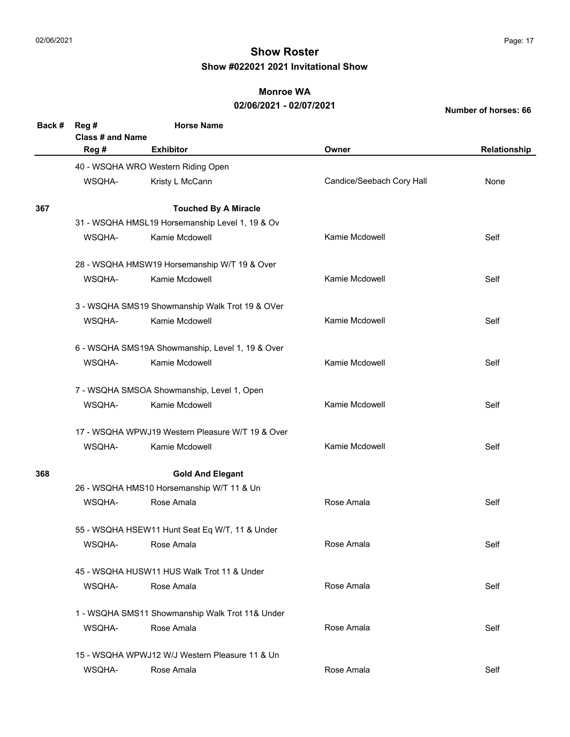### **Monroe WA**

#### **02/06/2021 - 02/07/2021**

| Back # | Reg #                   | <b>Horse Name</b>                                |                           |              |
|--------|-------------------------|--------------------------------------------------|---------------------------|--------------|
|        | <b>Class # and Name</b> |                                                  |                           |              |
|        | Reg #                   | <b>Exhibitor</b>                                 | Owner                     | Relationship |
|        |                         | 40 - WSQHA WRO Western Riding Open               |                           |              |
|        | WSQHA-                  | Kristy L McCann                                  | Candice/Seebach Cory Hall | None         |
| 367    |                         | <b>Touched By A Miracle</b>                      |                           |              |
|        |                         | 31 - WSQHA HMSL19 Horsemanship Level 1, 19 & Ov  |                           |              |
|        | WSQHA-                  | Kamie Mcdowell                                   | Kamie Mcdowell            | Self         |
|        |                         | 28 - WSQHA HMSW19 Horsemanship W/T 19 & Over     |                           |              |
|        | WSQHA-                  | Kamie Mcdowell                                   | Kamie Mcdowell            | Self         |
|        |                         | 3 - WSQHA SMS19 Showmanship Walk Trot 19 & OVer  |                           |              |
|        | WSQHA-                  | Kamie Mcdowell                                   | Kamie Mcdowell            | Self         |
|        |                         | 6 - WSQHA SMS19A Showmanship, Level 1, 19 & Over |                           |              |
|        | WSQHA-                  | Kamie Mcdowell                                   | Kamie Mcdowell            | Self         |
|        |                         | 7 - WSQHA SMSOA Showmanship, Level 1, Open       |                           |              |
|        | WSQHA-                  | Kamie Mcdowell                                   | Kamie Mcdowell            | Self         |
|        |                         | 17 - WSQHA WPWJ19 Western Pleasure W/T 19 & Over |                           |              |
|        | WSQHA-                  | Kamie Mcdowell                                   | Kamie Mcdowell            | Self         |
| 368    |                         | <b>Gold And Elegant</b>                          |                           |              |
|        |                         | 26 - WSQHA HMS10 Horsemanship W/T 11 & Un        |                           |              |
|        | WSQHA-                  | Rose Amala                                       | Rose Amala                | Self         |
|        |                         | 55 - WSQHA HSEW11 Hunt Seat Eq W/T, 11 & Under   |                           |              |
|        | WSQHA-                  | Rose Amala                                       | Rose Amala                | Self         |
|        |                         | 45 - WSQHA HUSW11 HUS Walk Trot 11 & Under       |                           |              |
|        | WSQHA-                  | Rose Amala                                       | Rose Amala                | Self         |
|        |                         | 1 - WSQHA SMS11 Showmanship Walk Trot 11& Under  |                           |              |
|        | WSQHA-                  | Rose Amala                                       | Rose Amala                | Self         |
|        |                         | 15 - WSQHA WPWJ12 W/J Western Pleasure 11 & Un   |                           |              |
|        | WSQHA-                  | Rose Amala                                       | Rose Amala                | Self         |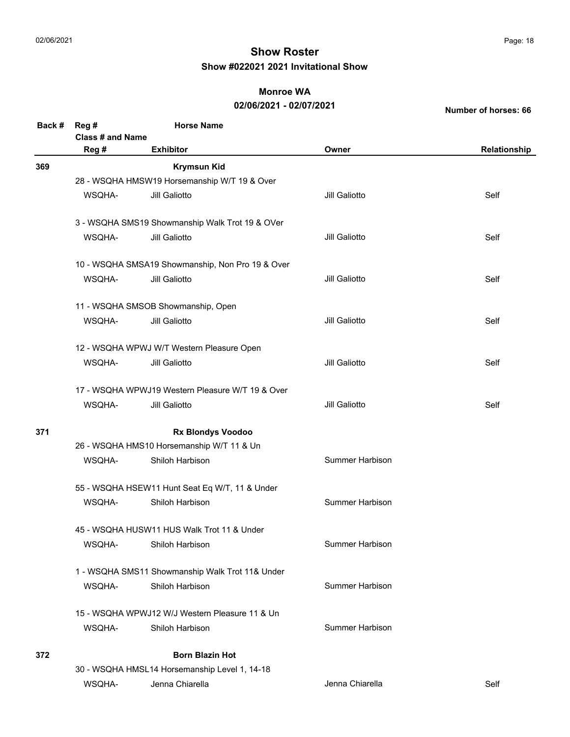### **Monroe WA**

### **02/06/2021 - 02/07/2021**

| Back # | Reg#<br>Class # and Name                  | <b>Horse Name</b>                                |                        |              |  |  |
|--------|-------------------------------------------|--------------------------------------------------|------------------------|--------------|--|--|
|        | Reg #                                     | <b>Exhibitor</b>                                 | Owner                  | Relationship |  |  |
| 369    |                                           | <b>Krymsun Kid</b>                               |                        |              |  |  |
|        |                                           | 28 - WSQHA HMSW19 Horsemanship W/T 19 & Over     |                        |              |  |  |
|        | WSQHA-                                    | Jill Galiotto                                    | Jill Galiotto          | Self         |  |  |
|        |                                           | 3 - WSQHA SMS19 Showmanship Walk Trot 19 & OVer  |                        |              |  |  |
|        | WSQHA-                                    | Jill Galiotto                                    | Jill Galiotto          | Self         |  |  |
|        |                                           | 10 - WSQHA SMSA19 Showmanship, Non Pro 19 & Over |                        |              |  |  |
|        | WSQHA-                                    | Jill Galiotto                                    | Jill Galiotto          | Self         |  |  |
|        |                                           | 11 - WSQHA SMSOB Showmanship, Open               |                        |              |  |  |
|        | WSQHA-                                    | Jill Galiotto                                    | Jill Galiotto          | Self         |  |  |
|        | 12 - WSQHA WPWJ W/T Western Pleasure Open |                                                  |                        |              |  |  |
|        | WSQHA-                                    | Jill Galiotto                                    | Jill Galiotto          | Self         |  |  |
|        |                                           | 17 - WSQHA WPWJ19 Western Pleasure W/T 19 & Over |                        |              |  |  |
|        | WSQHA-                                    | Jill Galiotto                                    | Jill Galiotto          | Self         |  |  |
| 371    |                                           | <b>Rx Blondys Voodoo</b>                         |                        |              |  |  |
|        |                                           | 26 - WSQHA HMS10 Horsemanship W/T 11 & Un        |                        |              |  |  |
|        | WSQHA-                                    | Shiloh Harbison                                  | Summer Harbison        |              |  |  |
|        |                                           | 55 - WSQHA HSEW11 Hunt Seat Eq W/T, 11 & Under   |                        |              |  |  |
|        | WSQHA-                                    | Shiloh Harbison                                  | Summer Harbison        |              |  |  |
|        |                                           | 45 - WSQHA HUSW11 HUS Walk Trot 11 & Under       |                        |              |  |  |
|        | WSQHA-                                    | Shiloh Harbison                                  | <b>Summer Harbison</b> |              |  |  |
|        |                                           | 1 - WSQHA SMS11 Showmanship Walk Trot 11& Under  |                        |              |  |  |
|        | WSQHA-                                    | Shiloh Harbison                                  | <b>Summer Harbison</b> |              |  |  |
|        |                                           | 15 - WSQHA WPWJ12 W/J Western Pleasure 11 & Un   |                        |              |  |  |
|        | WSQHA-                                    | Shiloh Harbison                                  | <b>Summer Harbison</b> |              |  |  |
| 372    |                                           | <b>Born Blazin Hot</b>                           |                        |              |  |  |
|        |                                           | 30 - WSQHA HMSL14 Horsemanship Level 1, 14-18    |                        |              |  |  |
|        | WSQHA-                                    | Jenna Chiarella                                  | Jenna Chiarella        | Self         |  |  |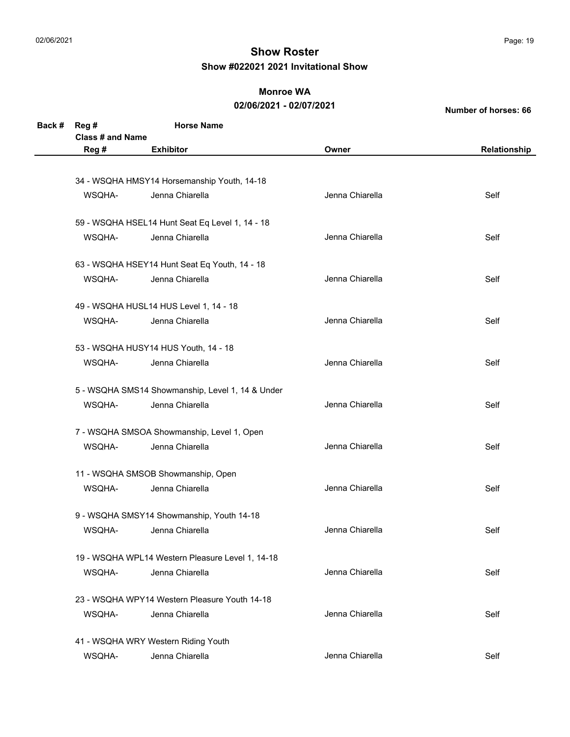### **Monroe WA**

#### **02/06/2021 - 02/07/2021**

| Back # | Reg#                    | <b>Horse Name</b>                                |                 |              |
|--------|-------------------------|--------------------------------------------------|-----------------|--------------|
|        | <b>Class # and Name</b> |                                                  |                 |              |
|        | Reg #                   | <b>Exhibitor</b>                                 | Owner           | Relationship |
|        |                         |                                                  |                 |              |
|        |                         | 34 - WSQHA HMSY14 Horsemanship Youth, 14-18      |                 |              |
|        | WSQHA-                  | Jenna Chiarella                                  | Jenna Chiarella | Self         |
|        |                         | 59 - WSQHA HSEL14 Hunt Seat Eq Level 1, 14 - 18  |                 |              |
|        | WSQHA-                  | Jenna Chiarella                                  | Jenna Chiarella | Self         |
|        |                         | 63 - WSQHA HSEY14 Hunt Seat Eq Youth, 14 - 18    |                 |              |
|        | WSQHA-                  | Jenna Chiarella                                  | Jenna Chiarella | Self         |
|        |                         | 49 - WSQHA HUSL14 HUS Level 1, 14 - 18           |                 |              |
|        | WSQHA-                  | Jenna Chiarella                                  | Jenna Chiarella | Self         |
|        |                         | 53 - WSQHA HUSY14 HUS Youth, 14 - 18             |                 |              |
|        | WSQHA-                  | Jenna Chiarella                                  | Jenna Chiarella | Self         |
|        |                         | 5 - WSQHA SMS14 Showmanship, Level 1, 14 & Under |                 |              |
|        | WSQHA-                  | Jenna Chiarella                                  | Jenna Chiarella | Self         |
|        |                         | 7 - WSQHA SMSOA Showmanship, Level 1, Open       |                 |              |
|        | WSQHA-                  | Jenna Chiarella                                  | Jenna Chiarella | Self         |
|        |                         | 11 - WSQHA SMSOB Showmanship, Open               |                 |              |
|        | WSQHA-                  | Jenna Chiarella                                  | Jenna Chiarella | Self         |
|        |                         | 9 - WSQHA SMSY14 Showmanship, Youth 14-18        |                 |              |
|        | WSQHA-                  | Jenna Chiarella                                  | Jenna Chiarella | Self         |
|        |                         | 19 - WSQHA WPL14 Western Pleasure Level 1, 14-18 |                 |              |
|        | WSQHA-                  | Jenna Chiarella                                  | Jenna Chiarella | Self         |
|        |                         | 23 - WSQHA WPY14 Western Pleasure Youth 14-18    |                 |              |
|        | WSQHA-                  | Jenna Chiarella                                  | Jenna Chiarella | Self         |
|        |                         | 41 - WSQHA WRY Western Riding Youth              |                 |              |
|        | WSQHA-                  | Jenna Chiarella                                  | Jenna Chiarella | Self         |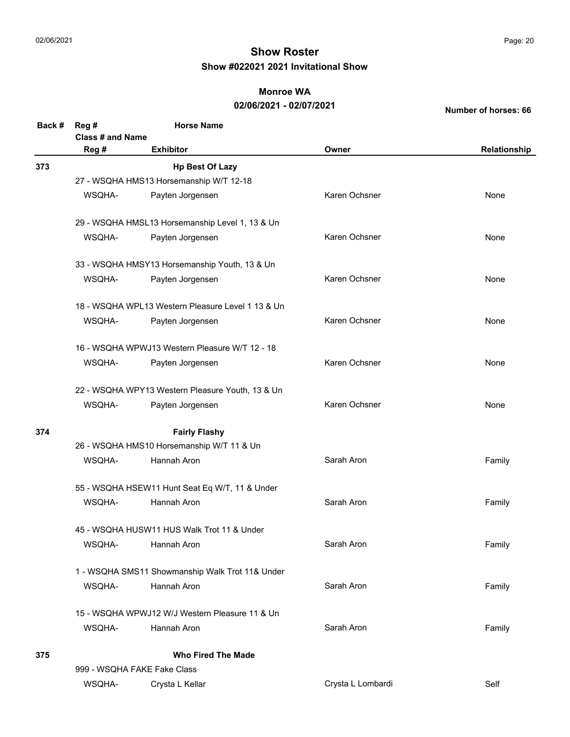### **Monroe WA**

### **02/06/2021 - 02/07/2021**

| Back # | Reg #<br>Class # and Name                  | <b>Horse Name</b>                                 |                   |              |
|--------|--------------------------------------------|---------------------------------------------------|-------------------|--------------|
|        | Reg #                                      | <b>Exhibitor</b>                                  | Owner             | Relationship |
| 373    |                                            | <b>Hp Best Of Lazy</b>                            |                   |              |
|        |                                            | 27 - WSQHA HMS13 Horsemanship W/T 12-18           |                   |              |
|        | WSQHA-                                     | Payten Jorgensen                                  | Karen Ochsner     | None         |
|        |                                            | 29 - WSQHA HMSL13 Horsemanship Level 1, 13 & Un   |                   |              |
|        | WSQHA-                                     | Payten Jorgensen                                  | Karen Ochsner     | None         |
|        |                                            | 33 - WSQHA HMSY13 Horsemanship Youth, 13 & Un     |                   |              |
|        | WSQHA-                                     | Payten Jorgensen                                  | Karen Ochsner     | None         |
|        |                                            | 18 - WSQHA WPL13 Western Pleasure Level 1 13 & Un |                   |              |
|        | WSQHA-                                     | Payten Jorgensen                                  | Karen Ochsner     | None         |
|        |                                            | 16 - WSQHA WPWJ13 Western Pleasure W/T 12 - 18    |                   |              |
|        | WSQHA-                                     | Payten Jorgensen                                  | Karen Ochsner     | None         |
|        |                                            | 22 - WSQHA WPY13 Western Pleasure Youth, 13 & Un  |                   |              |
|        | WSQHA-                                     | Payten Jorgensen                                  | Karen Ochsner     | None         |
| 374    |                                            | <b>Fairly Flashy</b>                              |                   |              |
|        |                                            | 26 - WSQHA HMS10 Horsemanship W/T 11 & Un         |                   |              |
|        | WSQHA-                                     | Hannah Aron                                       | Sarah Aron        | Family       |
|        |                                            | 55 - WSQHA HSEW11 Hunt Seat Eq W/T, 11 & Under    |                   |              |
|        | WSQHA-                                     | Hannah Aron                                       | Sarah Aron        | Family       |
|        | 45 - WSQHA HUSW11 HUS Walk Trot 11 & Under |                                                   |                   |              |
|        | WSQHA-                                     | Hannah Aron                                       | Sarah Aron        | Family       |
|        |                                            | 1 - WSQHA SMS11 Showmanship Walk Trot 11& Under   |                   |              |
|        | WSQHA-                                     | Hannah Aron                                       | Sarah Aron        | Family       |
|        |                                            | 15 - WSQHA WPWJ12 W/J Western Pleasure 11 & Un    |                   |              |
|        | WSQHA-                                     | Hannah Aron                                       | Sarah Aron        | Family       |
| 375    |                                            | <b>Who Fired The Made</b>                         |                   |              |
|        |                                            | 999 - WSQHA FAKE Fake Class                       |                   |              |
|        | WSQHA-                                     | Crysta L Kellar                                   | Crysta L Lombardi | Self         |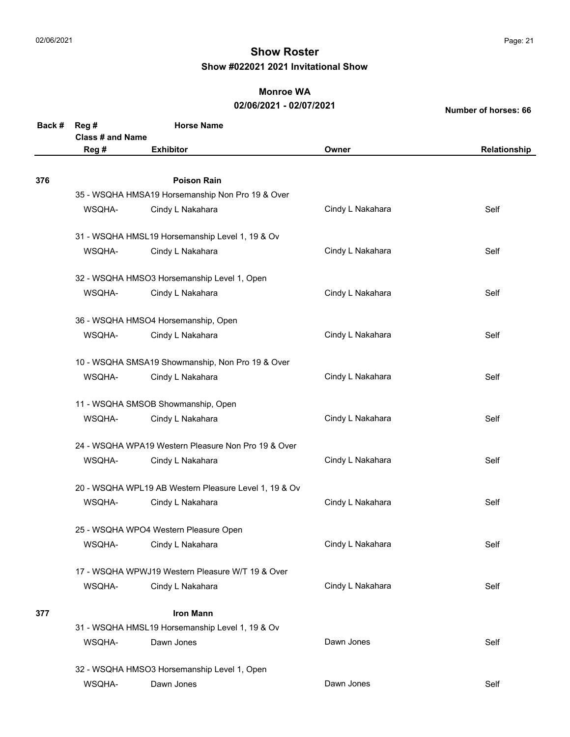### **Monroe WA**

#### **02/06/2021 - 02/07/2021**

| Back # | Reg#<br><b>Class # and Name</b>       | <b>Horse Name</b>                                     |                  |              |  |
|--------|---------------------------------------|-------------------------------------------------------|------------------|--------------|--|
|        | Reg #                                 | <b>Exhibitor</b>                                      | Owner            | Relationship |  |
|        |                                       |                                                       |                  |              |  |
| 376    |                                       | <b>Poison Rain</b>                                    |                  |              |  |
|        |                                       | 35 - WSQHA HMSA19 Horsemanship Non Pro 19 & Over      |                  |              |  |
|        | WSQHA-                                | Cindy L Nakahara                                      | Cindy L Nakahara | Self         |  |
|        |                                       | 31 - WSQHA HMSL19 Horsemanship Level 1, 19 & Ov       |                  |              |  |
|        | WSQHA-                                | Cindy L Nakahara                                      | Cindy L Nakahara | Self         |  |
|        |                                       | 32 - WSQHA HMSO3 Horsemanship Level 1, Open           |                  |              |  |
|        | WSQHA-                                | Cindy L Nakahara                                      | Cindy L Nakahara | Self         |  |
|        |                                       | 36 - WSQHA HMSO4 Horsemanship, Open                   |                  |              |  |
|        | WSQHA-                                | Cindy L Nakahara                                      | Cindy L Nakahara | Self         |  |
|        |                                       | 10 - WSQHA SMSA19 Showmanship, Non Pro 19 & Over      |                  |              |  |
|        | WSQHA-                                | Cindy L Nakahara                                      | Cindy L Nakahara | Self         |  |
|        |                                       | 11 - WSQHA SMSOB Showmanship, Open                    |                  |              |  |
|        | WSQHA-                                | Cindy L Nakahara                                      | Cindy L Nakahara | Self         |  |
|        |                                       | 24 - WSQHA WPA19 Western Pleasure Non Pro 19 & Over   |                  |              |  |
|        | WSQHA-                                | Cindy L Nakahara                                      | Cindy L Nakahara | Self         |  |
|        |                                       | 20 - WSQHA WPL19 AB Western Pleasure Level 1, 19 & Ov |                  |              |  |
|        | WSQHA-                                | Cindy L Nakahara                                      | Cindy L Nakahara | Self         |  |
|        | 25 - WSQHA WPO4 Western Pleasure Open |                                                       |                  |              |  |
|        | WSQHA-                                | Cindy L Nakahara                                      | Cindy L Nakahara | Self         |  |
|        |                                       | 17 - WSQHA WPWJ19 Western Pleasure W/T 19 & Over      |                  |              |  |
|        | WSQHA-                                | Cindy L Nakahara                                      | Cindy L Nakahara | Self         |  |
| 377    |                                       | <b>Iron Mann</b>                                      |                  |              |  |
|        |                                       | 31 - WSQHA HMSL19 Horsemanship Level 1, 19 & Ov       |                  |              |  |
|        | WSQHA-                                | Dawn Jones                                            | Dawn Jones       | Self         |  |
|        |                                       | 32 - WSQHA HMSO3 Horsemanship Level 1, Open           |                  |              |  |
|        | WSQHA-                                | Dawn Jones                                            | Dawn Jones       | Self         |  |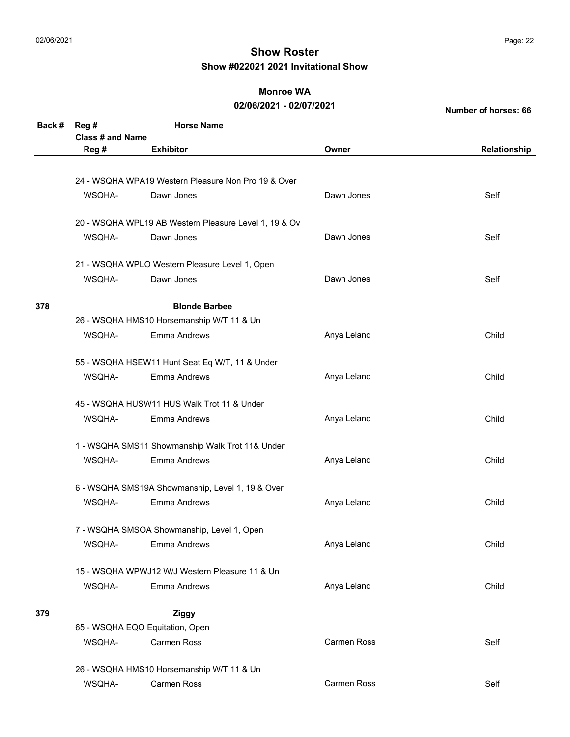#### **Monroe WA**

#### **02/06/2021 - 02/07/2021**

| Back # | Reg #                   | <b>Horse Name</b>                                     |                    |              |
|--------|-------------------------|-------------------------------------------------------|--------------------|--------------|
|        | <b>Class # and Name</b> |                                                       |                    |              |
|        | Reg #                   | <b>Exhibitor</b>                                      | Owner              | Relationship |
|        |                         |                                                       |                    |              |
|        |                         | 24 - WSQHA WPA19 Western Pleasure Non Pro 19 & Over   |                    |              |
|        | WSQHA-                  | Dawn Jones                                            | Dawn Jones         | Self         |
|        |                         | 20 - WSQHA WPL19 AB Western Pleasure Level 1, 19 & Ov |                    |              |
|        | WSQHA-                  | Dawn Jones                                            | Dawn Jones         | Self         |
|        |                         | 21 - WSQHA WPLO Western Pleasure Level 1, Open        |                    |              |
|        | WSQHA-                  | Dawn Jones                                            | Dawn Jones         | Self         |
| 378    |                         | <b>Blonde Barbee</b>                                  |                    |              |
|        |                         | 26 - WSQHA HMS10 Horsemanship W/T 11 & Un             |                    |              |
|        | WSQHA-                  | <b>Emma Andrews</b>                                   | Anya Leland        | Child        |
|        |                         |                                                       |                    |              |
|        |                         | 55 - WSQHA HSEW11 Hunt Seat Eq W/T, 11 & Under        |                    |              |
|        | WSQHA-                  | Emma Andrews                                          | Anya Leland        | Child        |
|        |                         | 45 - WSQHA HUSW11 HUS Walk Trot 11 & Under            |                    |              |
|        | WSQHA-                  | <b>Emma Andrews</b>                                   | Anya Leland        | Child        |
|        |                         | 1 - WSQHA SMS11 Showmanship Walk Trot 11& Under       |                    |              |
|        | WSQHA-                  | <b>Emma Andrews</b>                                   | Anya Leland        | Child        |
|        |                         | 6 - WSQHA SMS19A Showmanship, Level 1, 19 & Over      |                    |              |
|        |                         |                                                       |                    |              |
|        | WSQHA-                  | Emma Andrews                                          | Anya Leland        | Child        |
|        |                         | 7 - WSQHA SMSOA Showmanship, Level 1, Open            |                    |              |
|        | WSQHA-                  | <b>Emma Andrews</b>                                   | Anya Leland        | Child        |
|        |                         | 15 - WSQHA WPWJ12 W/J Western Pleasure 11 & Un        |                    |              |
|        | WSQHA-                  | Emma Andrews                                          | Anya Leland        | Child        |
| 379    |                         | <b>Ziggy</b>                                          |                    |              |
|        |                         | 65 - WSQHA EQO Equitation, Open                       |                    |              |
|        | WSQHA-                  | <b>Carmen Ross</b>                                    | <b>Carmen Ross</b> | Self         |
|        |                         | 26 - WSQHA HMS10 Horsemanship W/T 11 & Un             |                    |              |
|        | WSQHA-                  | Carmen Ross                                           | Carmen Ross        | Self         |
|        |                         |                                                       |                    |              |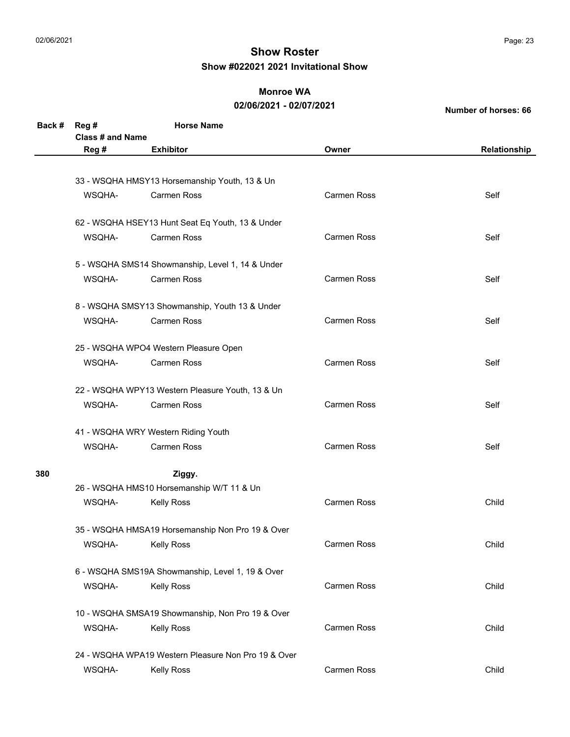### **Monroe WA**

#### **02/06/2021 - 02/07/2021**

| Back # | Reg #                                            | <b>Horse Name</b>                                   |                    |              |  |
|--------|--------------------------------------------------|-----------------------------------------------------|--------------------|--------------|--|
|        | <b>Class # and Name</b>                          |                                                     |                    |              |  |
|        | Reg #                                            | <b>Exhibitor</b>                                    | Owner              | Relationship |  |
|        |                                                  | 33 - WSQHA HMSY13 Horsemanship Youth, 13 & Un       |                    |              |  |
|        | WSQHA-                                           | Carmen Ross                                         | <b>Carmen Ross</b> | Self         |  |
|        |                                                  |                                                     |                    |              |  |
|        |                                                  | 62 - WSQHA HSEY13 Hunt Seat Eq Youth, 13 & Under    |                    |              |  |
|        | WSQHA-                                           | <b>Carmen Ross</b>                                  | <b>Carmen Ross</b> | Self         |  |
|        |                                                  | 5 - WSQHA SMS14 Showmanship, Level 1, 14 & Under    |                    |              |  |
|        | WSQHA-                                           | <b>Carmen Ross</b>                                  | <b>Carmen Ross</b> | Self         |  |
|        |                                                  |                                                     |                    |              |  |
|        |                                                  | 8 - WSQHA SMSY13 Showmanship, Youth 13 & Under      |                    |              |  |
|        | WSQHA-                                           | <b>Carmen Ross</b>                                  | Carmen Ross        | Self         |  |
|        |                                                  | 25 - WSQHA WPO4 Western Pleasure Open               |                    |              |  |
|        | WSQHA-                                           | <b>Carmen Ross</b>                                  | <b>Carmen Ross</b> | Self         |  |
|        |                                                  |                                                     |                    |              |  |
|        |                                                  | 22 - WSQHA WPY13 Western Pleasure Youth, 13 & Un    |                    |              |  |
|        | WSQHA-                                           | <b>Carmen Ross</b>                                  | <b>Carmen Ross</b> | Self         |  |
|        |                                                  | 41 - WSQHA WRY Western Riding Youth                 |                    |              |  |
|        | WSQHA-                                           | <b>Carmen Ross</b>                                  | <b>Carmen Ross</b> | Self         |  |
|        |                                                  |                                                     |                    |              |  |
| 380    |                                                  | Ziggy.                                              |                    |              |  |
|        |                                                  | 26 - WSQHA HMS10 Horsemanship W/T 11 & Un           |                    |              |  |
|        | WSQHA-                                           | <b>Kelly Ross</b>                                   | <b>Carmen Ross</b> | Child        |  |
|        | 35 - WSQHA HMSA19 Horsemanship Non Pro 19 & Over |                                                     |                    |              |  |
|        | WSQHA-                                           | <b>Kelly Ross</b>                                   | Carmen Ross        | Child        |  |
|        |                                                  |                                                     |                    |              |  |
|        |                                                  | 6 - WSQHA SMS19A Showmanship, Level 1, 19 & Over    |                    |              |  |
|        | WSQHA-                                           | <b>Kelly Ross</b>                                   | <b>Carmen Ross</b> | Child        |  |
|        |                                                  | 10 - WSQHA SMSA19 Showmanship, Non Pro 19 & Over    |                    |              |  |
|        | WSQHA-                                           | <b>Kelly Ross</b>                                   | <b>Carmen Ross</b> | Child        |  |
|        |                                                  |                                                     |                    |              |  |
|        |                                                  | 24 - WSQHA WPA19 Western Pleasure Non Pro 19 & Over |                    |              |  |
|        | WSQHA-                                           | <b>Kelly Ross</b>                                   | Carmen Ross        | Child        |  |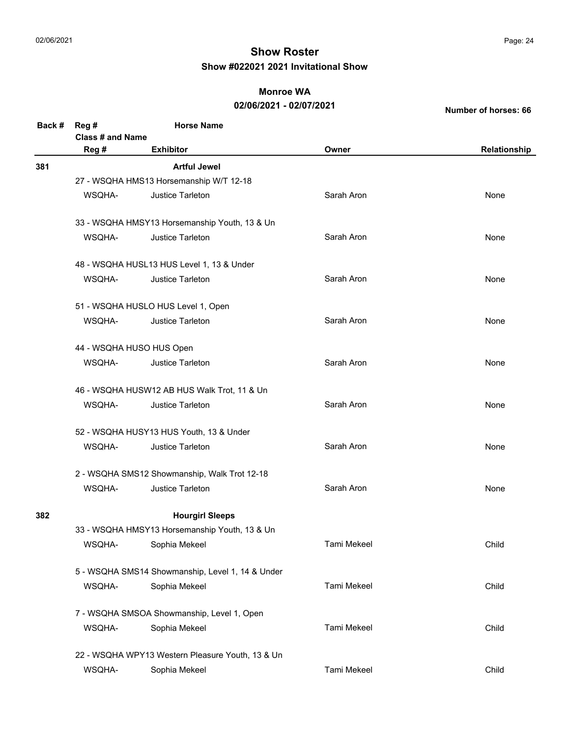### **Monroe WA**

### **02/06/2021 - 02/07/2021**

| Back # | Reg #<br>Class # and Name                   | <b>Horse Name</b>                                |                    |              |  |  |  |
|--------|---------------------------------------------|--------------------------------------------------|--------------------|--------------|--|--|--|
|        | Reg #                                       | <b>Exhibitor</b>                                 | Owner              | Relationship |  |  |  |
| 381    |                                             | <b>Artful Jewel</b>                              |                    |              |  |  |  |
|        |                                             | 27 - WSQHA HMS13 Horsemanship W/T 12-18          |                    |              |  |  |  |
|        | WSQHA-                                      | Justice Tarleton                                 | Sarah Aron         | None         |  |  |  |
|        |                                             | 33 - WSQHA HMSY13 Horsemanship Youth, 13 & Un    |                    |              |  |  |  |
|        | WSQHA-                                      | Justice Tarleton                                 | Sarah Aron         | None         |  |  |  |
|        |                                             | 48 - WSQHA HUSL13 HUS Level 1, 13 & Under        |                    |              |  |  |  |
|        | WSQHA-                                      | Justice Tarleton                                 | Sarah Aron         | None         |  |  |  |
|        |                                             | 51 - WSQHA HUSLO HUS Level 1, Open               |                    |              |  |  |  |
|        | WSQHA-                                      | <b>Justice Tarleton</b>                          | Sarah Aron         | None         |  |  |  |
|        |                                             | 44 - WSQHA HUSO HUS Open                         |                    |              |  |  |  |
|        | WSQHA-                                      | <b>Justice Tarleton</b>                          | Sarah Aron         | None         |  |  |  |
|        | 46 - WSQHA HUSW12 AB HUS Walk Trot, 11 & Un |                                                  |                    |              |  |  |  |
|        | WSQHA-                                      | <b>Justice Tarleton</b>                          | Sarah Aron         | None         |  |  |  |
|        |                                             | 52 - WSQHA HUSY13 HUS Youth, 13 & Under          |                    |              |  |  |  |
|        | WSQHA-                                      | Justice Tarleton                                 | Sarah Aron         | None         |  |  |  |
|        |                                             | 2 - WSQHA SMS12 Showmanship, Walk Trot 12-18     |                    |              |  |  |  |
|        | WSQHA-                                      | <b>Justice Tarleton</b>                          | Sarah Aron         | None         |  |  |  |
| 382    |                                             | <b>Hourgirl Sleeps</b>                           |                    |              |  |  |  |
|        |                                             | 33 - WSQHA HMSY13 Horsemanship Youth, 13 & Un    |                    |              |  |  |  |
|        | WSQHA-                                      | Sophia Mekeel                                    | Tami Mekeel        | Child        |  |  |  |
|        |                                             | 5 - WSQHA SMS14 Showmanship, Level 1, 14 & Under |                    |              |  |  |  |
|        | WSQHA-                                      | Sophia Mekeel                                    | <b>Tami Mekeel</b> | Child        |  |  |  |
|        |                                             | 7 - WSQHA SMSOA Showmanship, Level 1, Open       |                    |              |  |  |  |
|        | WSQHA-                                      | Sophia Mekeel                                    | Tami Mekeel        | Child        |  |  |  |
|        |                                             | 22 - WSQHA WPY13 Western Pleasure Youth, 13 & Un |                    |              |  |  |  |
|        | WSQHA-                                      | Sophia Mekeel                                    | Tami Mekeel        | Child        |  |  |  |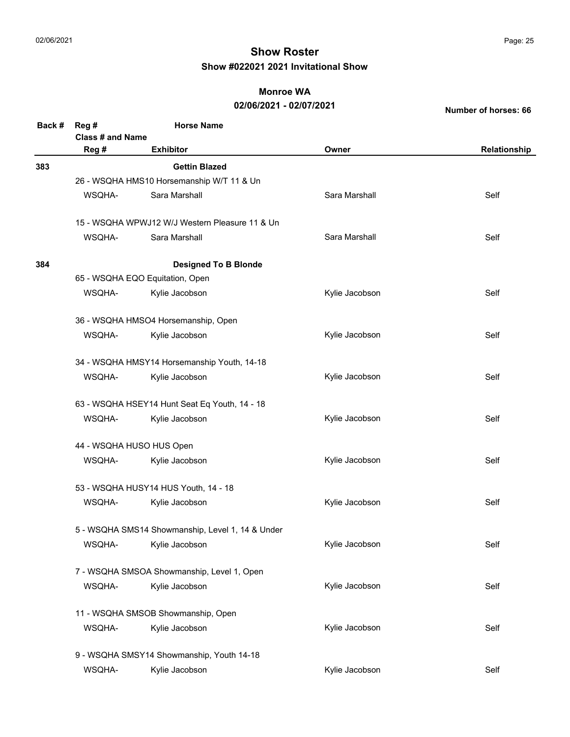### **Monroe WA**

### **02/06/2021 - 02/07/2021**

| Back # | Reg #<br>Class # and Name                        | <b>Horse Name</b>                              |                |              |  |  |
|--------|--------------------------------------------------|------------------------------------------------|----------------|--------------|--|--|
|        | Reg #                                            | <b>Exhibitor</b>                               | Owner          | Relationship |  |  |
| 383    | <b>Gettin Blazed</b>                             |                                                |                |              |  |  |
|        |                                                  | 26 - WSQHA HMS10 Horsemanship W/T 11 & Un      |                |              |  |  |
|        | WSQHA-                                           | Sara Marshall                                  | Sara Marshall  | Self         |  |  |
|        |                                                  | 15 - WSQHA WPWJ12 W/J Western Pleasure 11 & Un |                |              |  |  |
|        | WSQHA-                                           | Sara Marshall                                  | Sara Marshall  | Self         |  |  |
| 384    |                                                  | <b>Designed To B Blonde</b>                    |                |              |  |  |
|        |                                                  | 65 - WSQHA EQO Equitation, Open                |                |              |  |  |
|        | WSQHA-                                           | Kylie Jacobson                                 | Kylie Jacobson | Self         |  |  |
|        |                                                  | 36 - WSQHA HMSO4 Horsemanship, Open            |                |              |  |  |
|        | WSQHA-                                           | Kylie Jacobson                                 | Kylie Jacobson | Self         |  |  |
|        |                                                  | 34 - WSQHA HMSY14 Horsemanship Youth, 14-18    |                |              |  |  |
|        | WSQHA-                                           | Kylie Jacobson                                 | Kylie Jacobson | Self         |  |  |
|        | 63 - WSQHA HSEY14 Hunt Seat Eq Youth, 14 - 18    |                                                |                |              |  |  |
|        | WSQHA-                                           | Kylie Jacobson                                 | Kylie Jacobson | Self         |  |  |
|        | 44 - WSQHA HUSO HUS Open                         |                                                |                |              |  |  |
|        | WSQHA-                                           | Kylie Jacobson                                 | Kylie Jacobson | Self         |  |  |
|        |                                                  | 53 - WSQHA HUSY14 HUS Youth, 14 - 18           |                |              |  |  |
|        | WSQHA-                                           | Kylie Jacobson                                 | Kylie Jacobson | Self         |  |  |
|        | 5 - WSQHA SMS14 Showmanship, Level 1, 14 & Under |                                                |                |              |  |  |
|        | WSQHA-                                           | Kylie Jacobson                                 | Kylie Jacobson | Self         |  |  |
|        | 7 - WSQHA SMSOA Showmanship, Level 1, Open       |                                                |                |              |  |  |
|        | WSQHA-                                           | Kylie Jacobson                                 | Kylie Jacobson | Self         |  |  |
|        |                                                  | 11 - WSQHA SMSOB Showmanship, Open             |                |              |  |  |
|        | WSQHA-                                           | Kylie Jacobson                                 | Kylie Jacobson | Self         |  |  |
|        |                                                  | 9 - WSQHA SMSY14 Showmanship, Youth 14-18      |                |              |  |  |
|        | WSQHA-                                           | Kylie Jacobson                                 | Kylie Jacobson | Self         |  |  |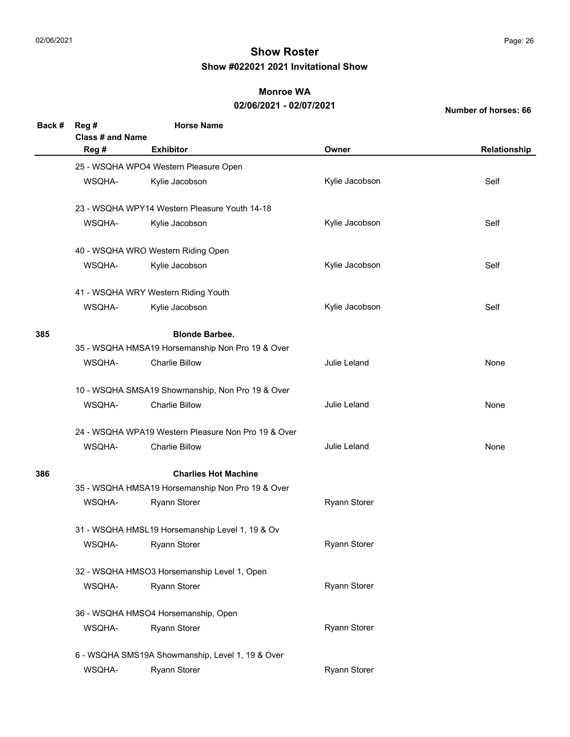### **Monroe WA**

#### **02/06/2021 - 02/07/2021**

| Back # | Reg#<br><b>Class # and Name</b>                  | <b>Horse Name</b>                                   |                     |              |  |
|--------|--------------------------------------------------|-----------------------------------------------------|---------------------|--------------|--|
|        | Reg #                                            | <b>Exhibitor</b>                                    | Owner               | Relationship |  |
|        |                                                  | 25 - WSQHA WPO4 Western Pleasure Open               |                     |              |  |
|        | WSQHA-                                           | Kylie Jacobson                                      | Kylie Jacobson      | Self         |  |
|        |                                                  | 23 - WSQHA WPY14 Western Pleasure Youth 14-18       |                     |              |  |
|        | WSQHA-                                           | Kylie Jacobson                                      | Kylie Jacobson      | Self         |  |
|        |                                                  | 40 - WSQHA WRO Western Riding Open                  |                     |              |  |
|        | WSQHA-                                           | Kylie Jacobson                                      | Kylie Jacobson      | Self         |  |
|        |                                                  | 41 - WSQHA WRY Western Riding Youth                 |                     |              |  |
|        | WSQHA-                                           | Kylie Jacobson                                      | Kylie Jacobson      | Self         |  |
| 385    | <b>Blonde Barbee.</b>                            |                                                     |                     |              |  |
|        |                                                  | 35 - WSQHA HMSA19 Horsemanship Non Pro 19 & Over    |                     |              |  |
|        | WSQHA-                                           | <b>Charlie Billow</b>                               | Julie Leland        | None         |  |
|        | 10 - WSQHA SMSA19 Showmanship, Non Pro 19 & Over |                                                     |                     |              |  |
|        | WSQHA-                                           | <b>Charlie Billow</b>                               | Julie Leland        | None         |  |
|        |                                                  | 24 - WSQHA WPA19 Western Pleasure Non Pro 19 & Over |                     |              |  |
|        | WSQHA-                                           | <b>Charlie Billow</b>                               | Julie Leland        | None         |  |
| 386    | <b>Charlies Hot Machine</b>                      |                                                     |                     |              |  |
|        |                                                  | 35 - WSQHA HMSA19 Horsemanship Non Pro 19 & Over    |                     |              |  |
|        | WSQHA-                                           | <b>Ryann Storer</b>                                 | <b>Ryann Storer</b> |              |  |
|        |                                                  | 31 - WSQHA HMSL19 Horsemanship Level 1, 19 & Ov     |                     |              |  |
|        | WSQHA-                                           | <b>Ryann Storer</b>                                 | Ryann Storer        |              |  |
|        | 32 - WSQHA HMSO3 Horsemanship Level 1, Open      |                                                     |                     |              |  |
|        | WSQHA-                                           | <b>Ryann Storer</b>                                 | Ryann Storer        |              |  |
|        | 36 - WSQHA HMSO4 Horsemanship, Open              |                                                     |                     |              |  |
|        | WSQHA-                                           | Ryann Storer                                        | <b>Ryann Storer</b> |              |  |
|        | 6 - WSQHA SMS19A Showmanship, Level 1, 19 & Over |                                                     |                     |              |  |
|        | WSQHA-                                           | <b>Ryann Storer</b>                                 | Ryann Storer        |              |  |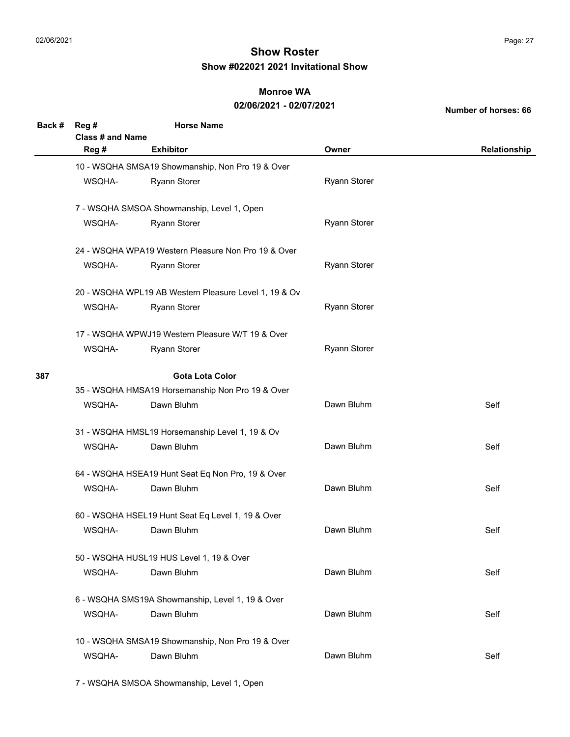#### **Monroe WA**

### **02/06/2021 - 02/07/2021**

**Number of horses: 66**

| Back # | Reg #<br><b>Class # and Name</b>                 | <b>Horse Name</b>                                     |                     |              |  |
|--------|--------------------------------------------------|-------------------------------------------------------|---------------------|--------------|--|
|        | Reg #                                            | <b>Exhibitor</b>                                      | Owner               | Relationship |  |
|        |                                                  | 10 - WSQHA SMSA19 Showmanship, Non Pro 19 & Over      |                     |              |  |
|        | WSQHA-                                           | <b>Ryann Storer</b>                                   | <b>Ryann Storer</b> |              |  |
|        |                                                  | 7 - WSQHA SMSOA Showmanship, Level 1, Open            |                     |              |  |
|        | WSQHA-                                           | <b>Ryann Storer</b>                                   | <b>Ryann Storer</b> |              |  |
|        |                                                  | 24 - WSQHA WPA19 Western Pleasure Non Pro 19 & Over   |                     |              |  |
|        | WSQHA-                                           | <b>Ryann Storer</b>                                   | <b>Ryann Storer</b> |              |  |
|        |                                                  | 20 - WSQHA WPL19 AB Western Pleasure Level 1, 19 & Ov |                     |              |  |
|        | WSQHA-                                           | <b>Ryann Storer</b>                                   | <b>Ryann Storer</b> |              |  |
|        |                                                  | 17 - WSQHA WPWJ19 Western Pleasure W/T 19 & Over      |                     |              |  |
|        | WSQHA-                                           | <b>Ryann Storer</b>                                   | <b>Ryann Storer</b> |              |  |
| 387    | <b>Gota Lota Color</b>                           |                                                       |                     |              |  |
|        |                                                  | 35 - WSQHA HMSA19 Horsemanship Non Pro 19 & Over      |                     |              |  |
|        | WSQHA-                                           | Dawn Bluhm                                            | Dawn Bluhm          | Self         |  |
|        |                                                  | 31 - WSQHA HMSL19 Horsemanship Level 1, 19 & Ov       |                     |              |  |
|        | WSQHA-                                           | Dawn Bluhm                                            | Dawn Bluhm          | Self         |  |
|        |                                                  | 64 - WSQHA HSEA19 Hunt Seat Eq Non Pro, 19 & Over     |                     |              |  |
|        | WSQHA-                                           | Dawn Bluhm                                            | Dawn Bluhm          | Self         |  |
|        |                                                  | 60 - WSQHA HSEL19 Hunt Seat Eq Level 1, 19 & Over     |                     |              |  |
|        | WSQHA-                                           | Dawn Bluhm                                            | Dawn Bluhm          | Self         |  |
|        | 50 - WSQHA HUSL19 HUS Level 1, 19 & Over         |                                                       |                     |              |  |
|        | WSQHA-                                           | Dawn Bluhm                                            | Dawn Bluhm          | Self         |  |
|        | 6 - WSQHA SMS19A Showmanship, Level 1, 19 & Over |                                                       |                     |              |  |
|        | WSQHA-                                           | Dawn Bluhm                                            | Dawn Bluhm          | Self         |  |
|        |                                                  | 10 - WSQHA SMSA19 Showmanship, Non Pro 19 & Over      |                     |              |  |
|        | WSQHA-                                           | Dawn Bluhm                                            | Dawn Bluhm          | Self         |  |

7 - WSQHA SMSOA Showmanship, Level 1, Open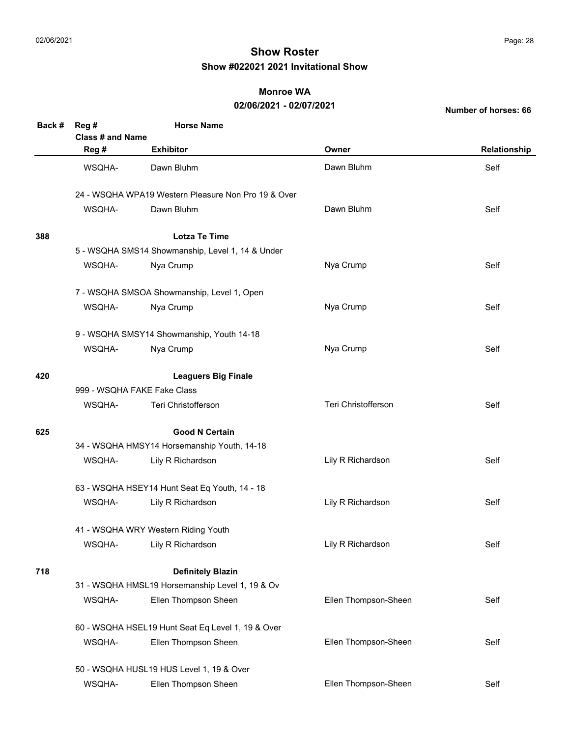### **Monroe WA**

### **02/06/2021 - 02/07/2021**

| Back # | Reg #                                             | <b>Horse Name</b>                                   |                      |              |  |
|--------|---------------------------------------------------|-----------------------------------------------------|----------------------|--------------|--|
|        | Class # and Name                                  |                                                     |                      |              |  |
|        | Reg #                                             | <b>Exhibitor</b>                                    | Owner                | Relationship |  |
|        | WSQHA-                                            | Dawn Bluhm                                          | Dawn Bluhm           | Self         |  |
|        |                                                   | 24 - WSQHA WPA19 Western Pleasure Non Pro 19 & Over |                      |              |  |
|        | WSQHA-                                            | Dawn Bluhm                                          | Dawn Bluhm           | Self         |  |
| 388    |                                                   | <b>Lotza Te Time</b>                                |                      |              |  |
|        |                                                   | 5 - WSQHA SMS14 Showmanship, Level 1, 14 & Under    |                      |              |  |
|        | WSQHA-                                            | Nya Crump                                           | Nya Crump            | Self         |  |
|        |                                                   | 7 - WSQHA SMSOA Showmanship, Level 1, Open          |                      |              |  |
|        | WSQHA-                                            | Nya Crump                                           | Nya Crump            | Self         |  |
|        |                                                   | 9 - WSQHA SMSY14 Showmanship, Youth 14-18           |                      |              |  |
|        | WSQHA-                                            | Nya Crump                                           | Nya Crump            | Self         |  |
| 420    |                                                   | <b>Leaguers Big Finale</b>                          |                      |              |  |
|        |                                                   | 999 - WSQHA FAKE Fake Class                         |                      |              |  |
|        | WSQHA-                                            | Teri Christofferson                                 | Teri Christofferson  | Self         |  |
| 625    |                                                   | <b>Good N Certain</b>                               |                      |              |  |
|        |                                                   | 34 - WSQHA HMSY14 Horsemanship Youth, 14-18         |                      |              |  |
|        | WSQHA-                                            | Lily R Richardson                                   | Lily R Richardson    | Self         |  |
|        |                                                   | 63 - WSQHA HSEY14 Hunt Seat Eq Youth, 14 - 18       |                      |              |  |
|        | WSQHA-                                            | Lily R Richardson                                   | Lily R Richardson    | Self         |  |
|        | 41 - WSQHA WRY Western Riding Youth               |                                                     |                      |              |  |
|        | WSQHA-                                            | Lily R Richardson                                   | Lily R Richardson    | Self         |  |
| 718    |                                                   | <b>Definitely Blazin</b>                            |                      |              |  |
|        |                                                   | 31 - WSQHA HMSL19 Horsemanship Level 1, 19 & Ov     |                      |              |  |
|        | WSQHA-                                            | Ellen Thompson Sheen                                | Ellen Thompson-Sheen | Self         |  |
|        | 60 - WSQHA HSEL19 Hunt Seat Eq Level 1, 19 & Over |                                                     |                      |              |  |
|        | WSQHA-                                            | Ellen Thompson Sheen                                | Ellen Thompson-Sheen | Self         |  |
|        |                                                   | 50 - WSQHA HUSL19 HUS Level 1, 19 & Over            |                      |              |  |
|        | WSQHA-                                            | Ellen Thompson Sheen                                | Ellen Thompson-Sheen | Self         |  |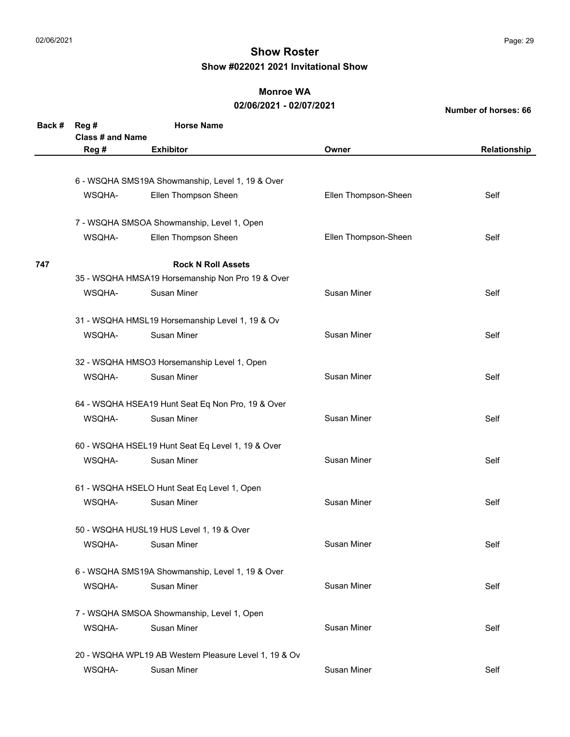### **Monroe WA**

#### **02/06/2021 - 02/07/2021**

| Back # | Reg#<br><b>Class # and Name</b> | <b>Horse Name</b>                                     |                      |              |
|--------|---------------------------------|-------------------------------------------------------|----------------------|--------------|
|        | Reg #                           | <b>Exhibitor</b>                                      | Owner                | Relationship |
|        |                                 |                                                       |                      |              |
|        |                                 | 6 - WSQHA SMS19A Showmanship, Level 1, 19 & Over      |                      |              |
|        | WSQHA-                          | Ellen Thompson Sheen                                  | Ellen Thompson-Sheen | Self         |
|        |                                 | 7 - WSQHA SMSOA Showmanship, Level 1, Open            |                      |              |
|        | WSQHA-                          | Ellen Thompson Sheen                                  | Ellen Thompson-Sheen | Self         |
| 747    |                                 | <b>Rock N Roll Assets</b>                             |                      |              |
|        |                                 | 35 - WSQHA HMSA19 Horsemanship Non Pro 19 & Over      |                      |              |
|        | WSQHA-                          | Susan Miner                                           | Susan Miner          | Self         |
|        |                                 | 31 - WSQHA HMSL19 Horsemanship Level 1, 19 & Ov       |                      |              |
|        | WSQHA-                          | <b>Susan Miner</b>                                    | <b>Susan Miner</b>   | Self         |
|        |                                 | 32 - WSQHA HMSO3 Horsemanship Level 1, Open           |                      |              |
|        | WSQHA-                          | <b>Susan Miner</b>                                    | <b>Susan Miner</b>   | Self         |
|        |                                 | 64 - WSQHA HSEA19 Hunt Seat Eq Non Pro, 19 & Over     |                      |              |
|        | WSQHA-                          | <b>Susan Miner</b>                                    | <b>Susan Miner</b>   | Self         |
|        |                                 | 60 - WSQHA HSEL19 Hunt Seat Eq Level 1, 19 & Over     |                      |              |
|        | WSQHA-                          | <b>Susan Miner</b>                                    | Susan Miner          | Self         |
|        |                                 | 61 - WSQHA HSELO Hunt Seat Eq Level 1, Open           |                      |              |
|        | WSQHA-                          | <b>Susan Miner</b>                                    | <b>Susan Miner</b>   | Self         |
|        |                                 | 50 - WSQHA HUSL19 HUS Level 1, 19 & Over              |                      |              |
|        | WSQHA-                          | Susan Miner                                           | Susan Miner          | Self         |
|        |                                 | 6 - WSQHA SMS19A Showmanship, Level 1, 19 & Over      |                      |              |
|        | WSQHA-                          | Susan Miner                                           | Susan Miner          | Self         |
|        |                                 | 7 - WSQHA SMSOA Showmanship, Level 1, Open            |                      |              |
|        | WSQHA-                          | Susan Miner                                           | <b>Susan Miner</b>   | Self         |
|        |                                 | 20 - WSQHA WPL19 AB Western Pleasure Level 1, 19 & Ov |                      |              |
|        | WSQHA-                          | Susan Miner                                           | Susan Miner          | Self         |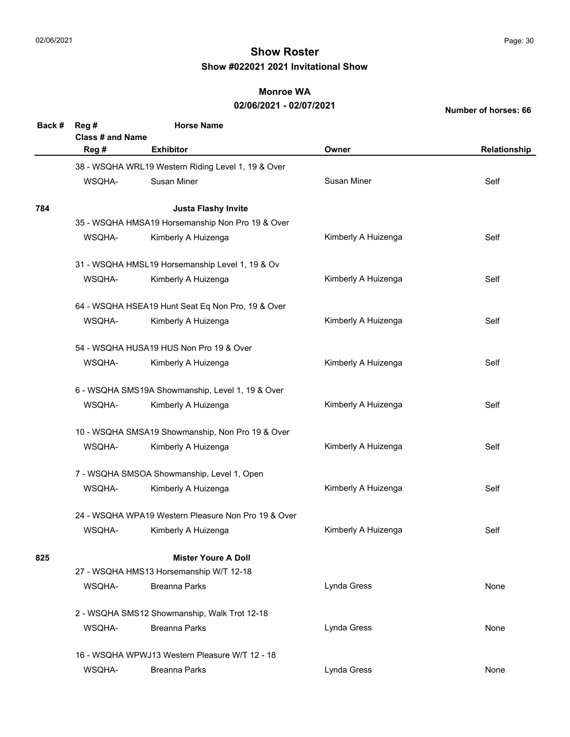### **Monroe WA**

#### **02/06/2021 - 02/07/2021**

| Back # | Reg#<br>Class # and Name                       | <b>Horse Name</b>                                   |                     |              |  |
|--------|------------------------------------------------|-----------------------------------------------------|---------------------|--------------|--|
|        | Reg #                                          | <b>Exhibitor</b>                                    | Owner               | Relationship |  |
|        |                                                | 38 - WSQHA WRL19 Western Riding Level 1, 19 & Over  |                     |              |  |
|        | WSQHA-                                         | <b>Susan Miner</b>                                  | Susan Miner         | Self         |  |
| 784    |                                                | <b>Justa Flashy Invite</b>                          |                     |              |  |
|        |                                                | 35 - WSQHA HMSA19 Horsemanship Non Pro 19 & Over    |                     |              |  |
|        | WSQHA-                                         | Kimberly A Huizenga                                 | Kimberly A Huizenga | Self         |  |
|        |                                                | 31 - WSQHA HMSL19 Horsemanship Level 1, 19 & Ov     |                     |              |  |
|        | WSQHA-                                         | Kimberly A Huizenga                                 | Kimberly A Huizenga | Self         |  |
|        |                                                | 64 - WSQHA HSEA19 Hunt Seat Eq Non Pro, 19 & Over   |                     |              |  |
|        | WSQHA-                                         | Kimberly A Huizenga                                 | Kimberly A Huizenga | Self         |  |
|        |                                                | 54 - WSQHA HUSA19 HUS Non Pro 19 & Over             |                     |              |  |
|        | WSQHA-                                         | Kimberly A Huizenga                                 | Kimberly A Huizenga | Self         |  |
|        |                                                | 6 - WSQHA SMS19A Showmanship, Level 1, 19 & Over    |                     |              |  |
|        | WSQHA-                                         | Kimberly A Huizenga                                 | Kimberly A Huizenga | Self         |  |
|        |                                                | 10 - WSQHA SMSA19 Showmanship, Non Pro 19 & Over    |                     |              |  |
|        | WSQHA-                                         | Kimberly A Huizenga                                 | Kimberly A Huizenga | Self         |  |
|        |                                                | 7 - WSQHA SMSOA Showmanship, Level 1, Open          |                     |              |  |
|        | WSQHA-                                         | Kimberly A Huizenga                                 | Kimberly A Huizenga | Self         |  |
|        |                                                | 24 - WSQHA WPA19 Western Pleasure Non Pro 19 & Over |                     |              |  |
|        | WSQHA-                                         | Kimberly A Huizenga                                 | Kimberly A Huizenga | Self         |  |
| 825    | <b>Mister Youre A Doll</b>                     |                                                     |                     |              |  |
|        |                                                | 27 - WSQHA HMS13 Horsemanship W/T 12-18             |                     |              |  |
|        | WSQHA-                                         | <b>Breanna Parks</b>                                | Lynda Gress         | None         |  |
|        | 2 - WSQHA SMS12 Showmanship, Walk Trot 12-18   |                                                     |                     |              |  |
|        | WSQHA-                                         | <b>Breanna Parks</b>                                | Lynda Gress         | None         |  |
|        | 16 - WSQHA WPWJ13 Western Pleasure W/T 12 - 18 |                                                     |                     |              |  |
|        | WSQHA-                                         | <b>Breanna Parks</b>                                | Lynda Gress         | None         |  |